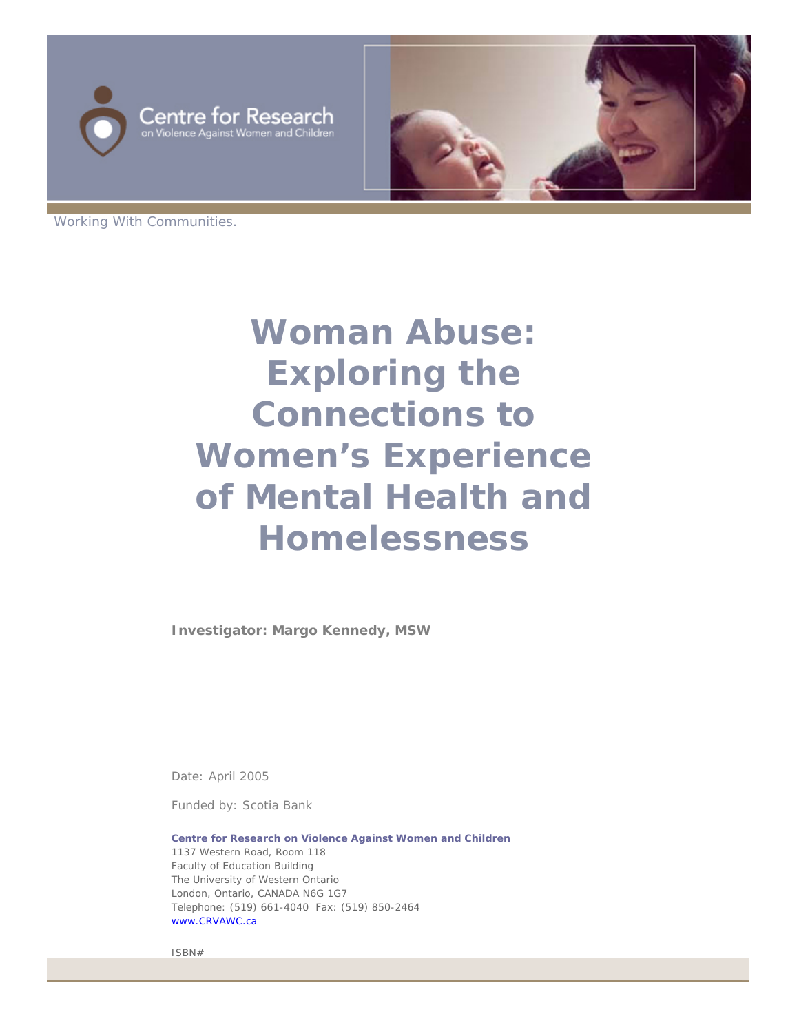



Working With Communities.

# **Woman Abuse: Exploring the Connections to Women's Experience of Mental Health and Homelessness**

**Investigator: Margo Kennedy, MSW** 

Date: April 2005

Funded by: Scotia Bank

**Centre for Research on Violence Against Women and Children** 1137 Western Road, Room 118 Faculty of Education Building The University of Western Ontario London, Ontario, CANADA N6G 1G7 Telephone: (519) 661-4040 Fax: (519) 850-2464 [www.CRVAWC.ca](http://www.crvawc.ca/)

ISBN#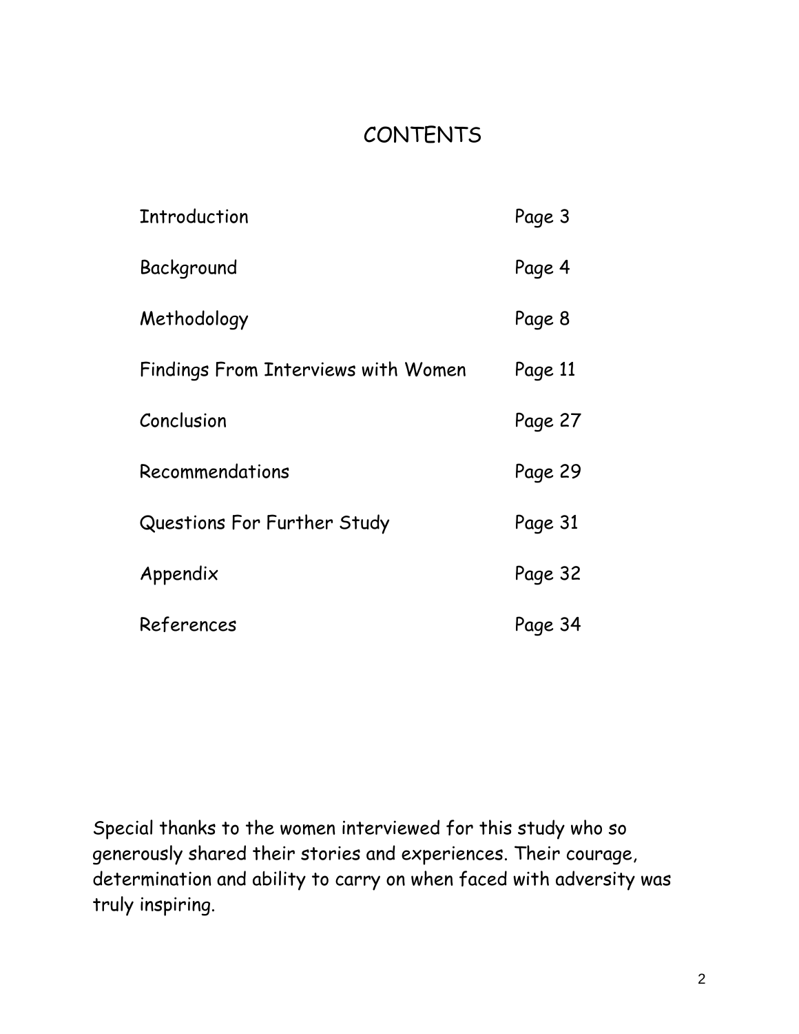## CONTENTS

| <b>Introduction</b>                 | Page 3  |
|-------------------------------------|---------|
| Background                          | Page 4  |
| Methodology                         | Page 8  |
| Findings From Interviews with Women | Page 11 |
| Conclusion                          | Page 27 |
| Recommendations                     | Page 29 |
| Questions For Further Study         | Page 31 |
| Appendix                            | Page 32 |
| References                          | Page 34 |

Special thanks to the women interviewed for this study who so generously shared their stories and experiences. Their courage, determination and ability to carry on when faced with adversity was truly inspiring.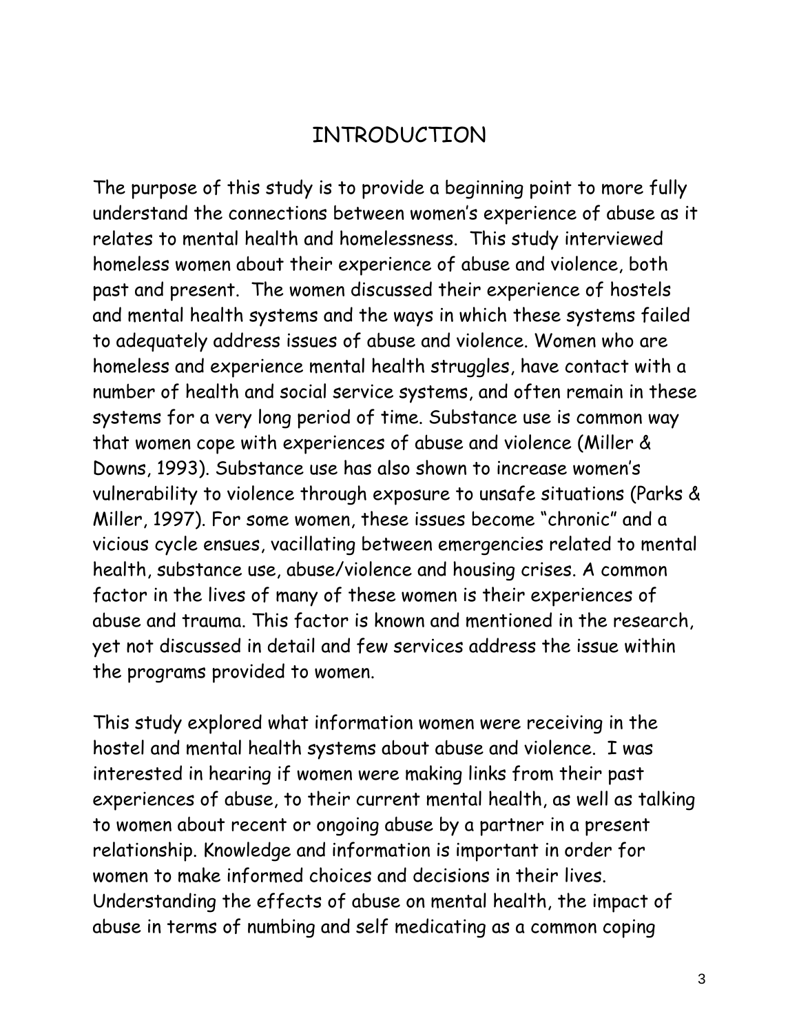#### INTRODUCTION

The purpose of this study is to provide a beginning point to more fully understand the connections between women's experience of abuse as it relates to mental health and homelessness. This study interviewed homeless women about their experience of abuse and violence, both past and present. The women discussed their experience of hostels and mental health systems and the ways in which these systems failed to adequately address issues of abuse and violence. Women who are homeless and experience mental health struggles, have contact with a number of health and social service systems, and often remain in these systems for a very long period of time. Substance use is common way that women cope with experiences of abuse and violence (Miller & Downs, 1993). Substance use has also shown to increase women's vulnerability to violence through exposure to unsafe situations (Parks & Miller, 1997). For some women, these issues become "chronic" and a vicious cycle ensues, vacillating between emergencies related to mental health, substance use, abuse/violence and housing crises. A common factor in the lives of many of these women is their experiences of abuse and trauma. This factor is known and mentioned in the research, yet not discussed in detail and few services address the issue within the programs provided to women.

This study explored what information women were receiving in the hostel and mental health systems about abuse and violence. I was interested in hearing if women were making links from their past experiences of abuse, to their current mental health, as well as talking to women about recent or ongoing abuse by a partner in a present relationship. Knowledge and information is important in order for women to make informed choices and decisions in their lives. Understanding the effects of abuse on mental health, the impact of abuse in terms of numbing and self medicating as a common coping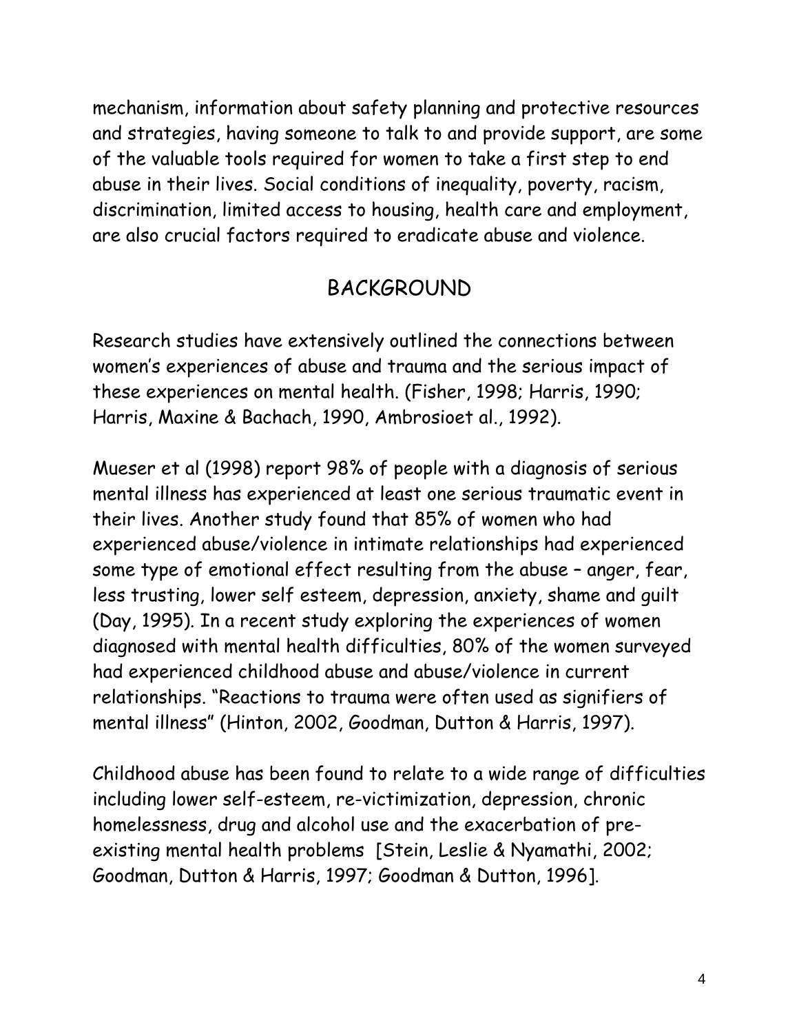mechanism, information about safety planning and protective resources and strategies, having someone to talk to and provide support, are some of the valuable tools required for women to take a first step to end abuse in their lives. Social conditions of inequality, poverty, racism, discrimination, limited access to housing, health care and employment, are also crucial factors required to eradicate abuse and violence.

#### BACKGROUND

Research studies have extensively outlined the connections between women's experiences of abuse and trauma and the serious impact of these experiences on mental health. (Fisher, 1998; Harris, 1990; Harris, Maxine & Bachach, 1990, Ambrosioet al., 1992).

Mueser et al (1998) report 98% of people with a diagnosis of serious mental illness has experienced at least one serious traumatic event in their lives. Another study found that 85% of women who had experienced abuse/violence in intimate relationships had experienced some type of emotional effect resulting from the abuse – anger, fear, less trusting, lower self esteem, depression, anxiety, shame and guilt (Day, 1995). In a recent study exploring the experiences of women diagnosed with mental health difficulties, 80% of the women surveyed had experienced childhood abuse and abuse/violence in current relationships. "Reactions to trauma were often used as signifiers of mental illness" (Hinton, 2002, Goodman, Dutton & Harris, 1997).

Childhood abuse has been found to relate to a wide range of difficulties including lower self-esteem, re-victimization, depression, chronic homelessness, drug and alcohol use and the exacerbation of preexisting mental health problems [Stein, Leslie & Nyamathi, 2002; Goodman, Dutton & Harris, 1997; Goodman & Dutton, 1996].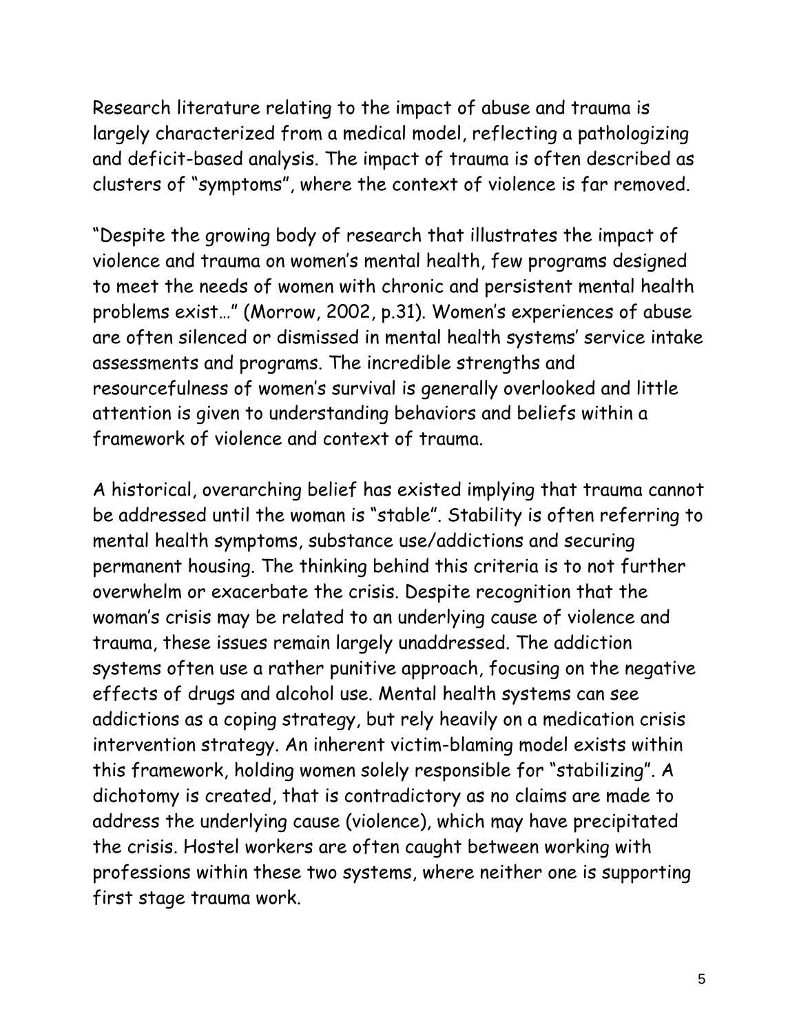Research literature relating to the impact of abuse and trauma is largely characterized from a medical model, reflecting a pathologizing and deficit-based analysis. The impact of trauma is often described as clusters of "symptoms", where the context of violence is far removed.

"Despite the growing body of research that illustrates the impact of violence and trauma on women's mental health, few programs designed to meet the needs of women with chronic and persistent mental health problems exist…" (Morrow, 2002, p.31). Women's experiences of abuse are often silenced or dismissed in mental health systems' service intake assessments and programs. The incredible strengths and resourcefulness of women's survival is generally overlooked and little attention is given to understanding behaviors and beliefs within a framework of violence and context of trauma.

A historical, overarching belief has existed implying that trauma cannot be addressed until the woman is "stable". Stability is often referring to mental health symptoms, substance use/addictions and securing permanent housing. The thinking behind this criteria is to not further overwhelm or exacerbate the crisis. Despite recognition that the woman's crisis may be related to an underlying cause of violence and trauma, these issues remain largely unaddressed. The addiction systems often use a rather punitive approach, focusing on the negative effects of drugs and alcohol use. Mental health systems can see addictions as a coping strategy, but rely heavily on a medication crisis intervention strategy. An inherent victim-blaming model exists within this framework, holding women solely responsible for "stabilizing". A dichotomy is created, that is contradictory as no claims are made to address the underlying cause (violence), which may have precipitated the crisis. Hostel workers are often caught between working with professions within these two systems, where neither one is supporting first stage trauma work.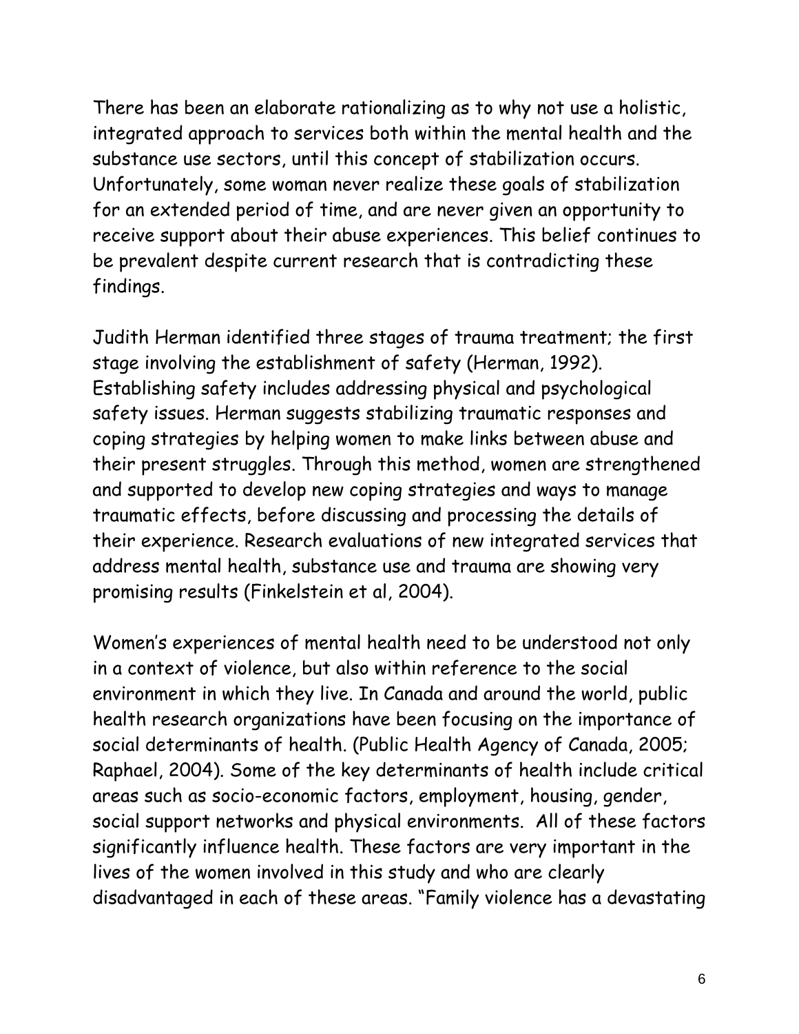There has been an elaborate rationalizing as to why not use a holistic, integrated approach to services both within the mental health and the substance use sectors, until this concept of stabilization occurs. Unfortunately, some woman never realize these goals of stabilization for an extended period of time, and are never given an opportunity to receive support about their abuse experiences. This belief continues to be prevalent despite current research that is contradicting these findings.

Judith Herman identified three stages of trauma treatment; the first stage involving the establishment of safety (Herman, 1992). Establishing safety includes addressing physical and psychological safety issues. Herman suggests stabilizing traumatic responses and coping strategies by helping women to make links between abuse and their present struggles. Through this method, women are strengthened and supported to develop new coping strategies and ways to manage traumatic effects, before discussing and processing the details of their experience. Research evaluations of new integrated services that address mental health, substance use and trauma are showing very promising results (Finkelstein et al, 2004).

Women's experiences of mental health need to be understood not only in a context of violence, but also within reference to the social environment in which they live. In Canada and around the world, public health research organizations have been focusing on the importance of social determinants of health. (Public Health Agency of Canada, 2005; Raphael, 2004). Some of the key determinants of health include critical areas such as socio-economic factors, employment, housing, gender, social support networks and physical environments. All of these factors significantly influence health. These factors are very important in the lives of the women involved in this study and who are clearly disadvantaged in each of these areas. "Family violence has a devastating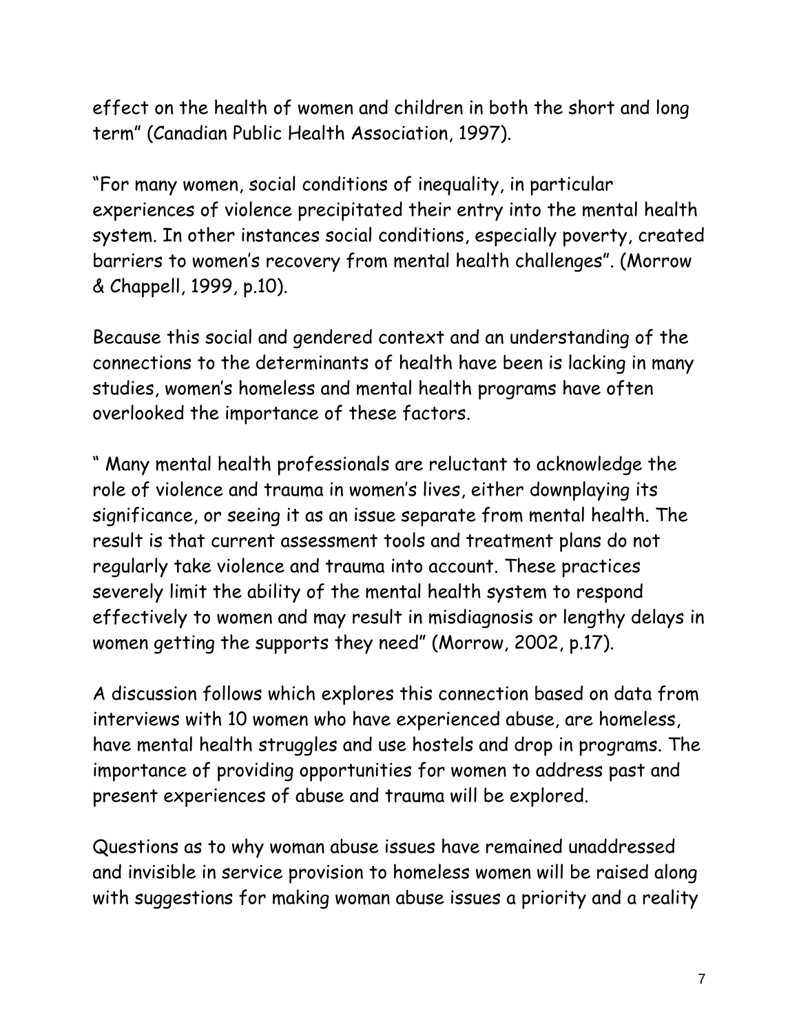effect on the health of women and children in both the short and long term" (Canadian Public Health Association, 1997).

"For many women, social conditions of inequality, in particular experiences of violence precipitated their entry into the mental health system. In other instances social conditions, especially poverty, created barriers to women's recovery from mental health challenges". (Morrow & Chappell, 1999, p.10).

Because this social and gendered context and an understanding of the connections to the determinants of health have been is lacking in many studies, women's homeless and mental health programs have often overlooked the importance of these factors.

" Many mental health professionals are reluctant to acknowledge the role of violence and trauma in women's lives, either downplaying its significance, or seeing it as an issue separate from mental health. The result is that current assessment tools and treatment plans do not regularly take violence and trauma into account. These practices severely limit the ability of the mental health system to respond effectively to women and may result in misdiagnosis or lengthy delays in women getting the supports they need" (Morrow, 2002, p.17).

A discussion follows which explores this connection based on data from interviews with 10 women who have experienced abuse, are homeless, have mental health struggles and use hostels and drop in programs. The importance of providing opportunities for women to address past and present experiences of abuse and trauma will be explored.

Questions as to why woman abuse issues have remained unaddressed and invisible in service provision to homeless women will be raised along with suggestions for making woman abuse issues a priority and a reality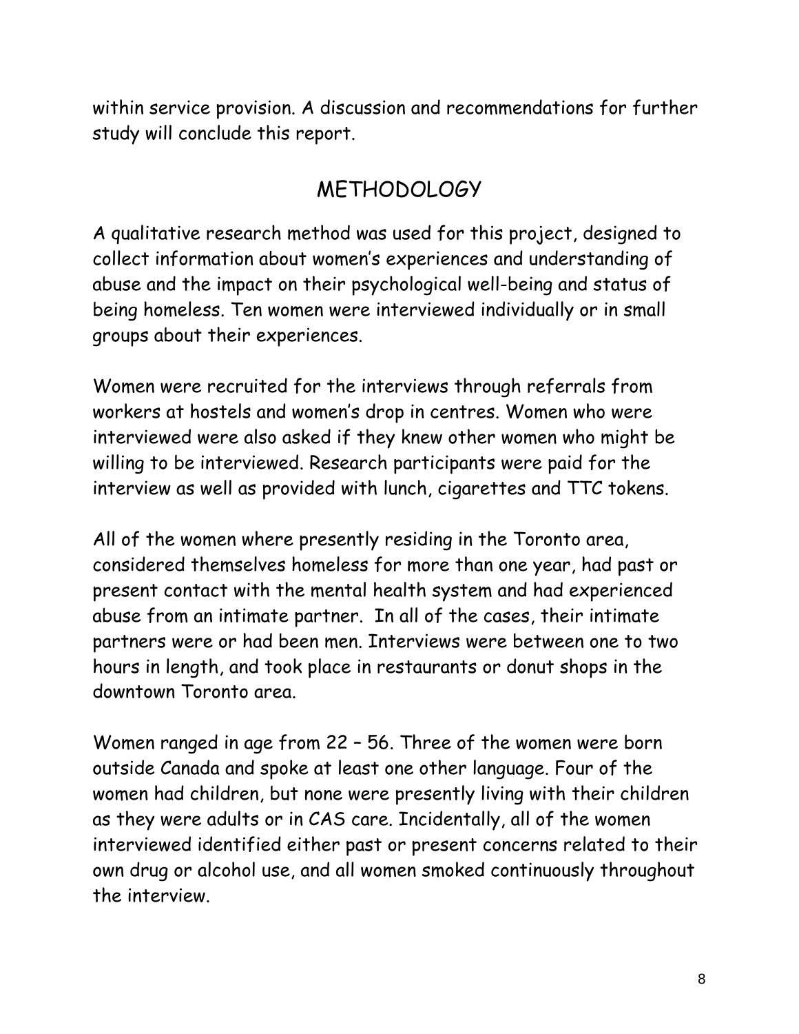within service provision. A discussion and recommendations for further study will conclude this report.

# METHODOLOGY

A qualitative research method was used for this project, designed to collect information about women's experiences and understanding of abuse and the impact on their psychological well-being and status of being homeless. Ten women were interviewed individually or in small groups about their experiences.

Women were recruited for the interviews through referrals from workers at hostels and women's drop in centres. Women who were interviewed were also asked if they knew other women who might be willing to be interviewed. Research participants were paid for the interview as well as provided with lunch, cigarettes and TTC tokens.

All of the women where presently residing in the Toronto area, considered themselves homeless for more than one year, had past or present contact with the mental health system and had experienced abuse from an intimate partner. In all of the cases, their intimate partners were or had been men. Interviews were between one to two hours in length, and took place in restaurants or donut shops in the downtown Toronto area.

Women ranged in age from 22 – 56. Three of the women were born outside Canada and spoke at least one other language. Four of the women had children, but none were presently living with their children as they were adults or in CAS care. Incidentally, all of the women interviewed identified either past or present concerns related to their own drug or alcohol use, and all women smoked continuously throughout the interview.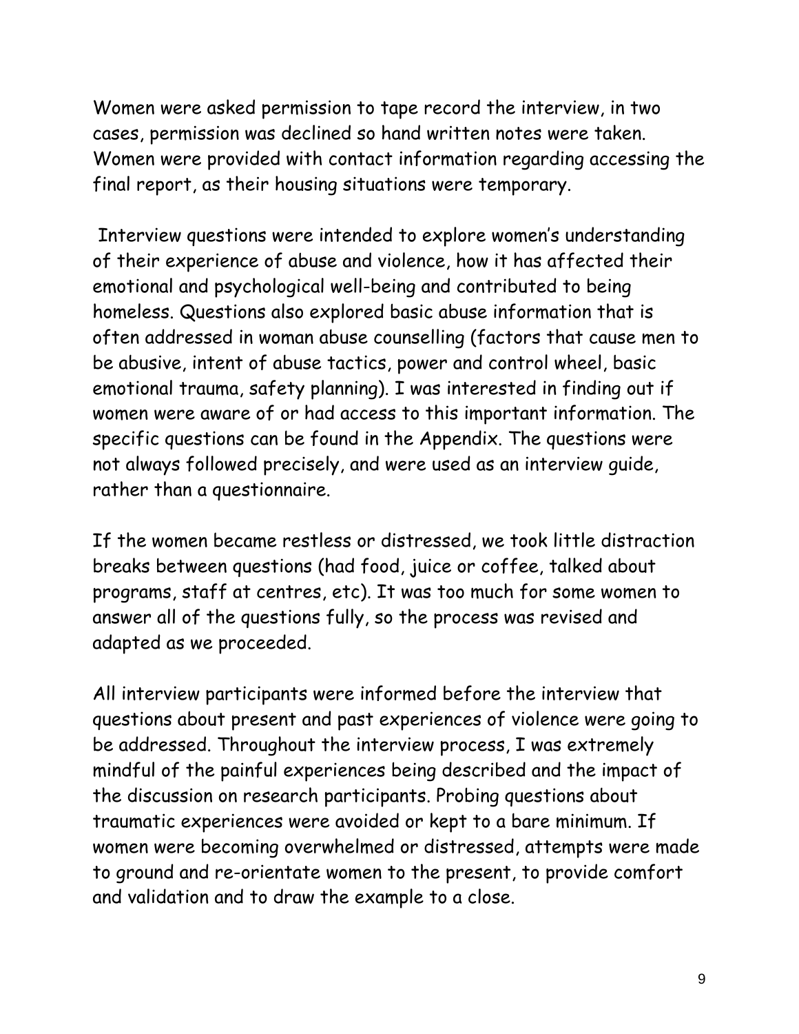Women were asked permission to tape record the interview, in two cases, permission was declined so hand written notes were taken. Women were provided with contact information regarding accessing the final report, as their housing situations were temporary.

 Interview questions were intended to explore women's understanding of their experience of abuse and violence, how it has affected their emotional and psychological well-being and contributed to being homeless. Questions also explored basic abuse information that is often addressed in woman abuse counselling (factors that cause men to be abusive, intent of abuse tactics, power and control wheel, basic emotional trauma, safety planning). I was interested in finding out if women were aware of or had access to this important information. The specific questions can be found in the Appendix. The questions were not always followed precisely, and were used as an interview guide, rather than a questionnaire.

If the women became restless or distressed, we took little distraction breaks between questions (had food, juice or coffee, talked about programs, staff at centres, etc). It was too much for some women to answer all of the questions fully, so the process was revised and adapted as we proceeded.

All interview participants were informed before the interview that questions about present and past experiences of violence were going to be addressed. Throughout the interview process, I was extremely mindful of the painful experiences being described and the impact of the discussion on research participants. Probing questions about traumatic experiences were avoided or kept to a bare minimum. If women were becoming overwhelmed or distressed, attempts were made to ground and re-orientate women to the present, to provide comfort and validation and to draw the example to a close.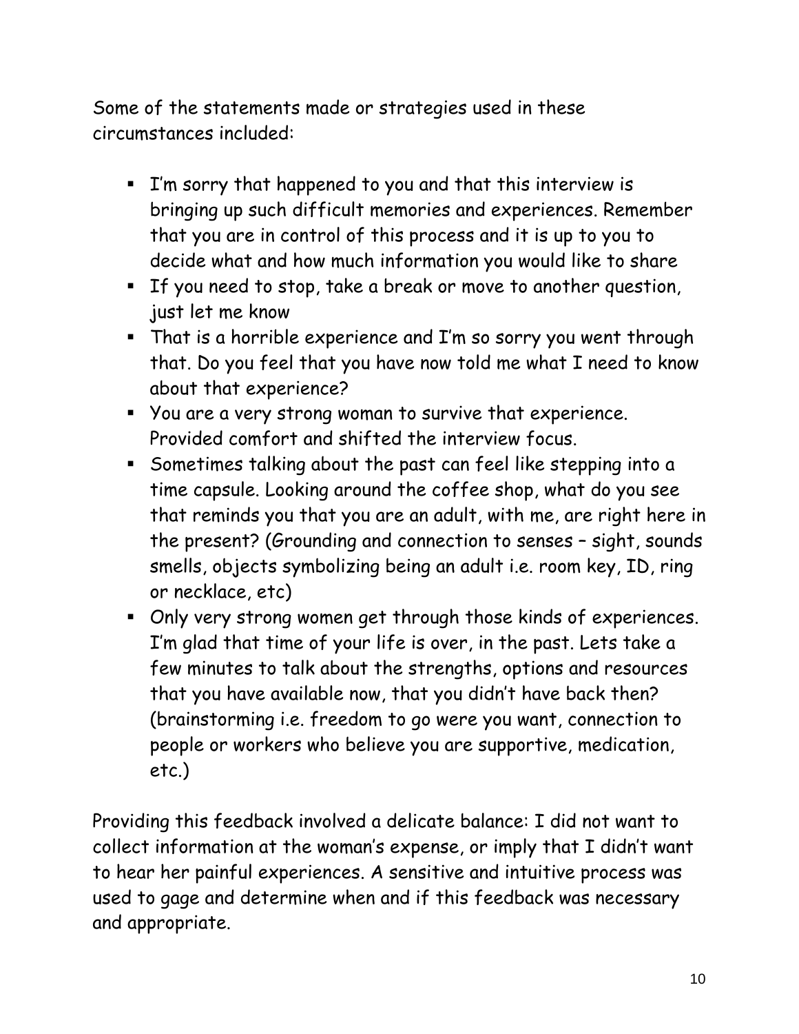Some of the statements made or strategies used in these circumstances included:

- I'm sorry that happened to you and that this interview is bringing up such difficult memories and experiences. Remember that you are in control of this process and it is up to you to decide what and how much information you would like to share
- If you need to stop, take a break or move to another question, just let me know
- That is a horrible experience and I'm so sorry you went through that. Do you feel that you have now told me what I need to know about that experience?
- You are a very strong woman to survive that experience. Provided comfort and shifted the interview focus.
- Sometimes talking about the past can feel like stepping into a time capsule. Looking around the coffee shop, what do you see that reminds you that you are an adult, with me, are right here in the present? (Grounding and connection to senses – sight, sounds smells, objects symbolizing being an adult i.e. room key, ID, ring or necklace, etc)
- Only very strong women get through those kinds of experiences. I'm glad that time of your life is over, in the past. Lets take a few minutes to talk about the strengths, options and resources that you have available now, that you didn't have back then? (brainstorming i.e. freedom to go were you want, connection to people or workers who believe you are supportive, medication, etc.)

Providing this feedback involved a delicate balance: I did not want to collect information at the woman's expense, or imply that I didn't want to hear her painful experiences. A sensitive and intuitive process was used to gage and determine when and if this feedback was necessary and appropriate.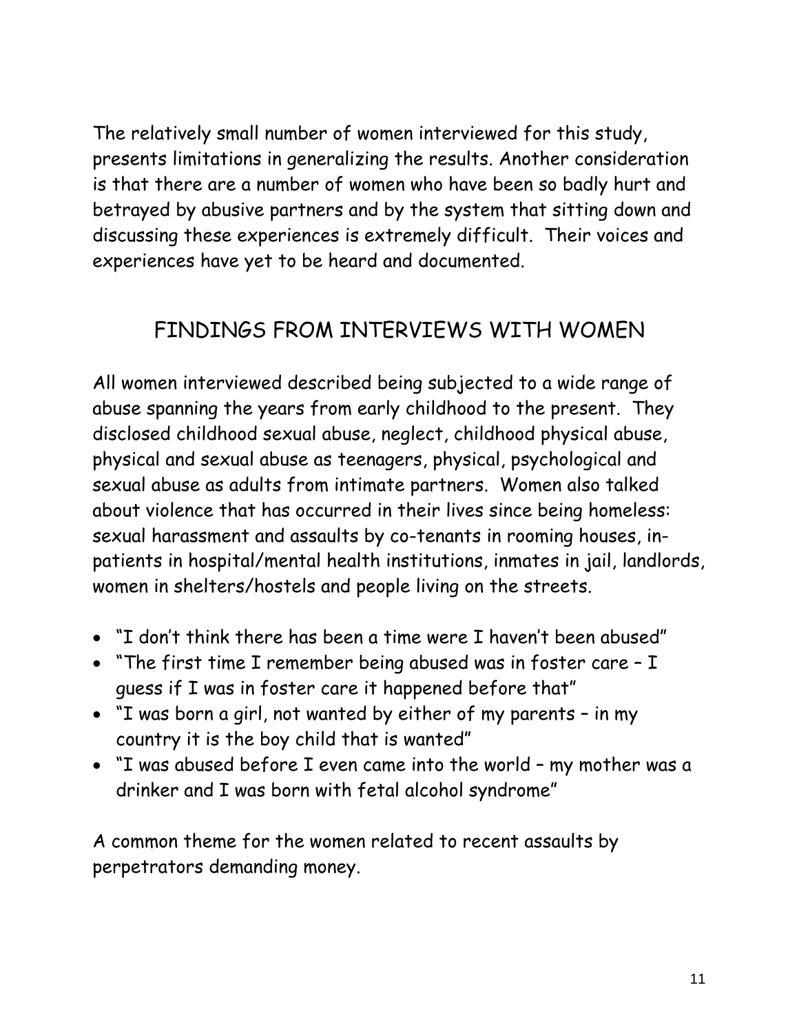The relatively small number of women interviewed for this study, presents limitations in generalizing the results. Another consideration is that there are a number of women who have been so badly hurt and betrayed by abusive partners and by the system that sitting down and discussing these experiences is extremely difficult. Their voices and experiences have yet to be heard and documented.

# FINDINGS FROM INTERVIEWS WITH WOMEN

All women interviewed described being subjected to a wide range of abuse spanning the years from early childhood to the present. They disclosed childhood sexual abuse, neglect, childhood physical abuse, physical and sexual abuse as teenagers, physical, psychological and sexual abuse as adults from intimate partners. Women also talked about violence that has occurred in their lives since being homeless: sexual harassment and assaults by co-tenants in rooming houses, inpatients in hospital/mental health institutions, inmates in jail, landlords, women in shelters/hostels and people living on the streets.

- "I don't think there has been a time were I haven't been abused"
- "The first time I remember being abused was in foster care I guess if I was in foster care it happened before that"
- "I was born a girl, not wanted by either of my parents in my country it is the boy child that is wanted"
- "I was abused before I even came into the world my mother was a drinker and I was born with fetal alcohol syndrome"

A common theme for the women related to recent assaults by perpetrators demanding money.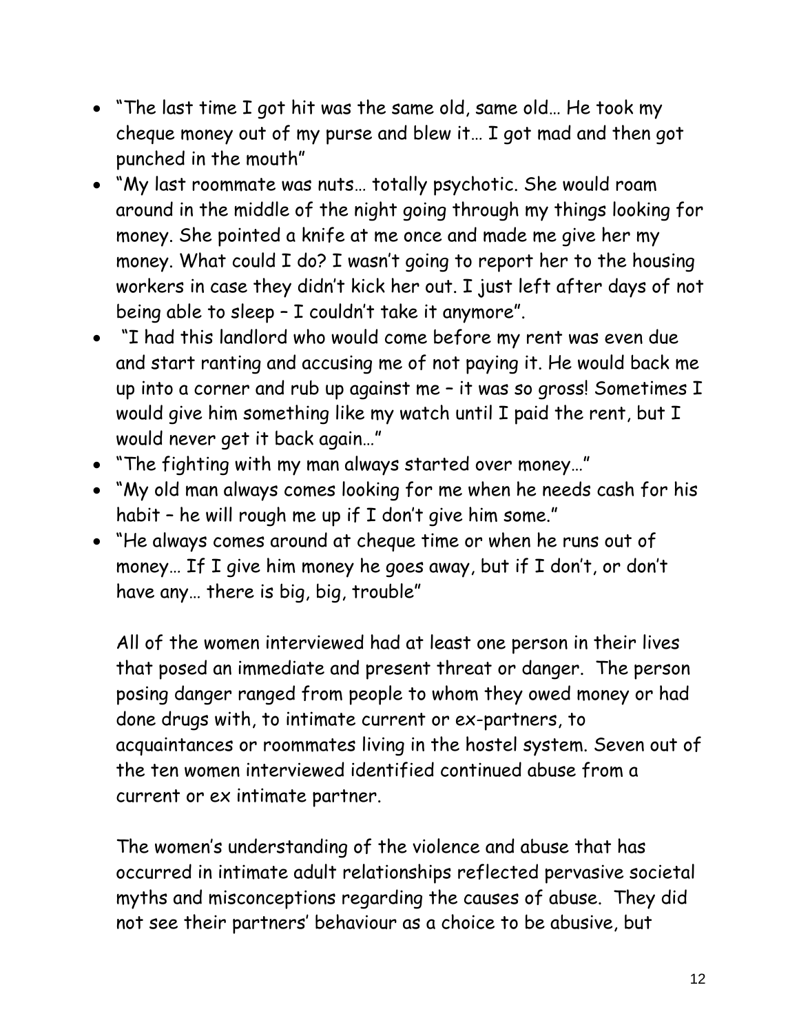- "The last time I got hit was the same old, same old… He took my cheque money out of my purse and blew it… I got mad and then got punched in the mouth"
- "My last roommate was nuts… totally psychotic. She would roam around in the middle of the night going through my things looking for money. She pointed a knife at me once and made me give her my money. What could I do? I wasn't going to report her to the housing workers in case they didn't kick her out. I just left after days of not being able to sleep – I couldn't take it anymore".
- "I had this landlord who would come before my rent was even due and start ranting and accusing me of not paying it. He would back me up into a corner and rub up against me – it was so gross! Sometimes I would give him something like my watch until I paid the rent, but I would never get it back again…"
- "The fighting with my man always started over money…"
- "My old man always comes looking for me when he needs cash for his habit – he will rough me up if I don't give him some."
- "He always comes around at cheque time or when he runs out of money… If I give him money he goes away, but if I don't, or don't have any… there is big, big, trouble"

All of the women interviewed had at least one person in their lives that posed an immediate and present threat or danger. The person posing danger ranged from people to whom they owed money or had done drugs with, to intimate current or ex-partners, to acquaintances or roommates living in the hostel system. Seven out of the ten women interviewed identified continued abuse from a current or ex intimate partner.

The women's understanding of the violence and abuse that has occurred in intimate adult relationships reflected pervasive societal myths and misconceptions regarding the causes of abuse. They did not see their partners' behaviour as a choice to be abusive, but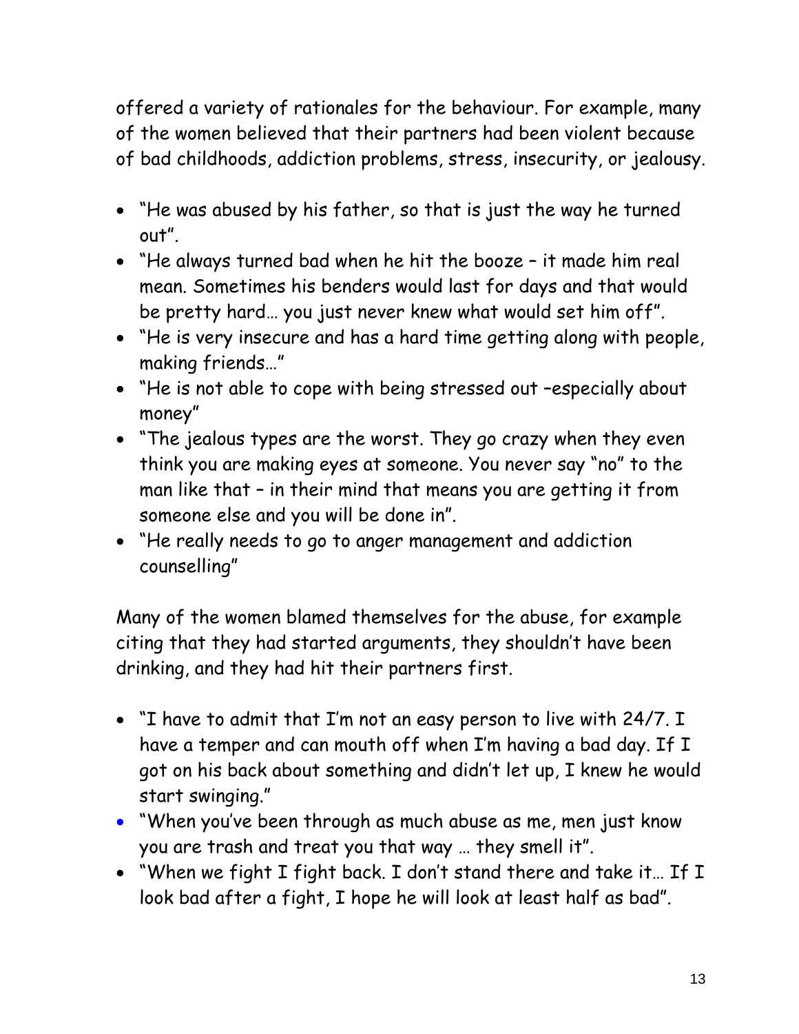offered a variety of rationales for the behaviour. For example, many of the women believed that their partners had been violent because of bad childhoods, addiction problems, stress, insecurity, or jealousy.

- "He was abused by his father, so that is just the way he turned out".
- "He always turned bad when he hit the booze it made him real mean. Sometimes his benders would last for days and that would be pretty hard… you just never knew what would set him off".
- "He is very insecure and has a hard time getting along with people, making friends…"
- "He is not able to cope with being stressed out –especially about money"
- "The jealous types are the worst. They go crazy when they even think you are making eyes at someone. You never say "no" to the man like that – in their mind that means you are getting it from someone else and you will be done in".
- "He really needs to go to anger management and addiction counselling"

Many of the women blamed themselves for the abuse, for example citing that they had started arguments, they shouldn't have been drinking, and they had hit their partners first.

- "I have to admit that I'm not an easy person to live with 24/7. I have a temper and can mouth off when I'm having a bad day. If I got on his back about something and didn't let up, I knew he would start swinging."
- "When you've been through as much abuse as me, men just know you are trash and treat you that way … they smell it".
- "When we fight I fight back. I don't stand there and take it… If I look bad after a fight, I hope he will look at least half as bad".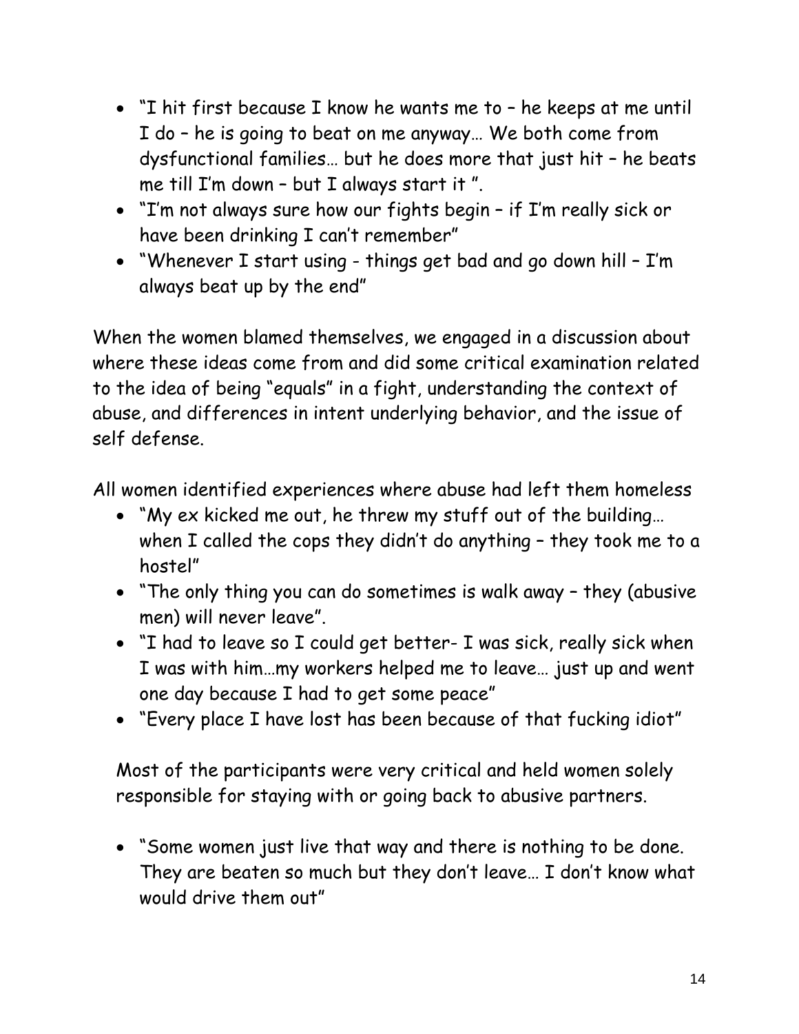- "I hit first because I know he wants me to he keeps at me until I do – he is going to beat on me anyway… We both come from dysfunctional families… but he does more that just hit – he beats me till I'm down – but I always start it ".
- "I'm not always sure how our fights begin if I'm really sick or have been drinking I can't remember"
- "Whenever I start using things get bad and go down hill I'm always beat up by the end"

When the women blamed themselves, we engaged in a discussion about where these ideas come from and did some critical examination related to the idea of being "equals" in a fight, understanding the context of abuse, and differences in intent underlying behavior, and the issue of self defense.

All women identified experiences where abuse had left them homeless

- "My ex kicked me out, he threw my stuff out of the building… when I called the cops they didn't do anything – they took me to a hostel"
- "The only thing you can do sometimes is walk away they (abusive men) will never leave".
- "I had to leave so I could get better- I was sick, really sick when I was with him…my workers helped me to leave… just up and went one day because I had to get some peace"
- "Every place I have lost has been because of that fucking idiot"

Most of the participants were very critical and held women solely responsible for staying with or going back to abusive partners.

• "Some women just live that way and there is nothing to be done. They are beaten so much but they don't leave… I don't know what would drive them out"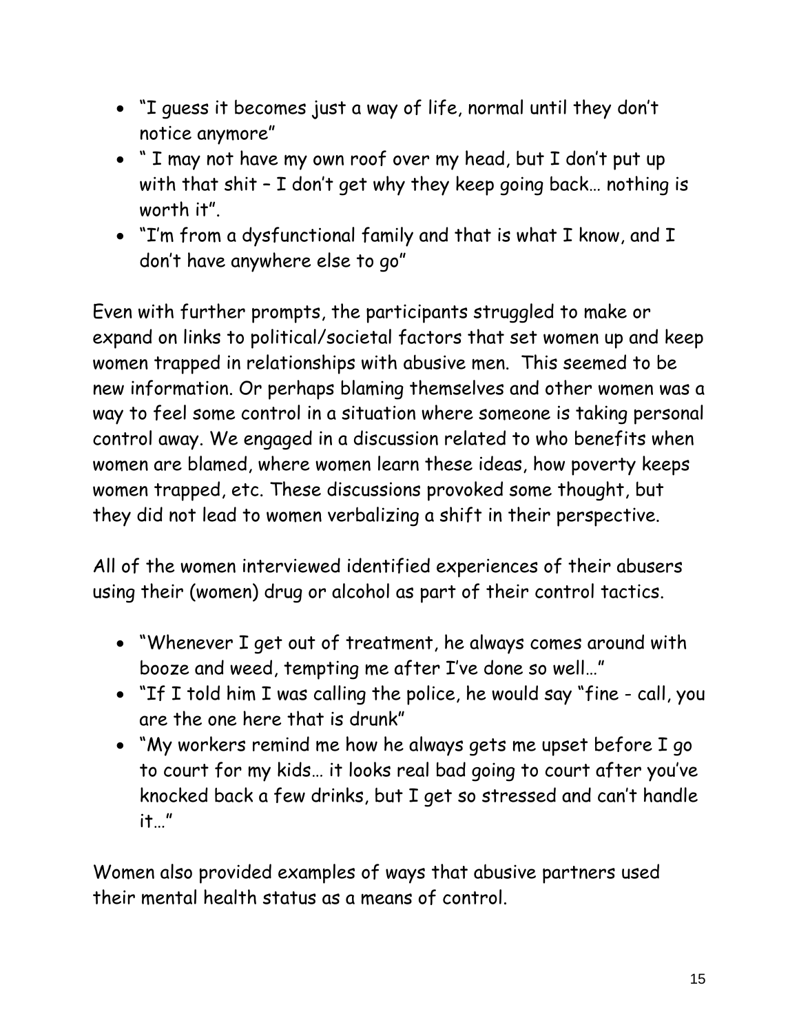- "I guess it becomes just a way of life, normal until they don't notice anymore"
- " I may not have my own roof over my head, but I don't put up with that shit – I don't get why they keep going back… nothing is worth it".
- "I'm from a dysfunctional family and that is what I know, and I don't have anywhere else to go"

Even with further prompts, the participants struggled to make or expand on links to political/societal factors that set women up and keep women trapped in relationships with abusive men. This seemed to be new information. Or perhaps blaming themselves and other women was a way to feel some control in a situation where someone is taking personal control away. We engaged in a discussion related to who benefits when women are blamed, where women learn these ideas, how poverty keeps women trapped, etc. These discussions provoked some thought, but they did not lead to women verbalizing a shift in their perspective.

All of the women interviewed identified experiences of their abusers using their (women) drug or alcohol as part of their control tactics.

- "Whenever I get out of treatment, he always comes around with booze and weed, tempting me after I've done so well…"
- "If I told him I was calling the police, he would say "fine call, you are the one here that is drunk"
- "My workers remind me how he always gets me upset before I go to court for my kids… it looks real bad going to court after you've knocked back a few drinks, but I get so stressed and can't handle it…"

Women also provided examples of ways that abusive partners used their mental health status as a means of control.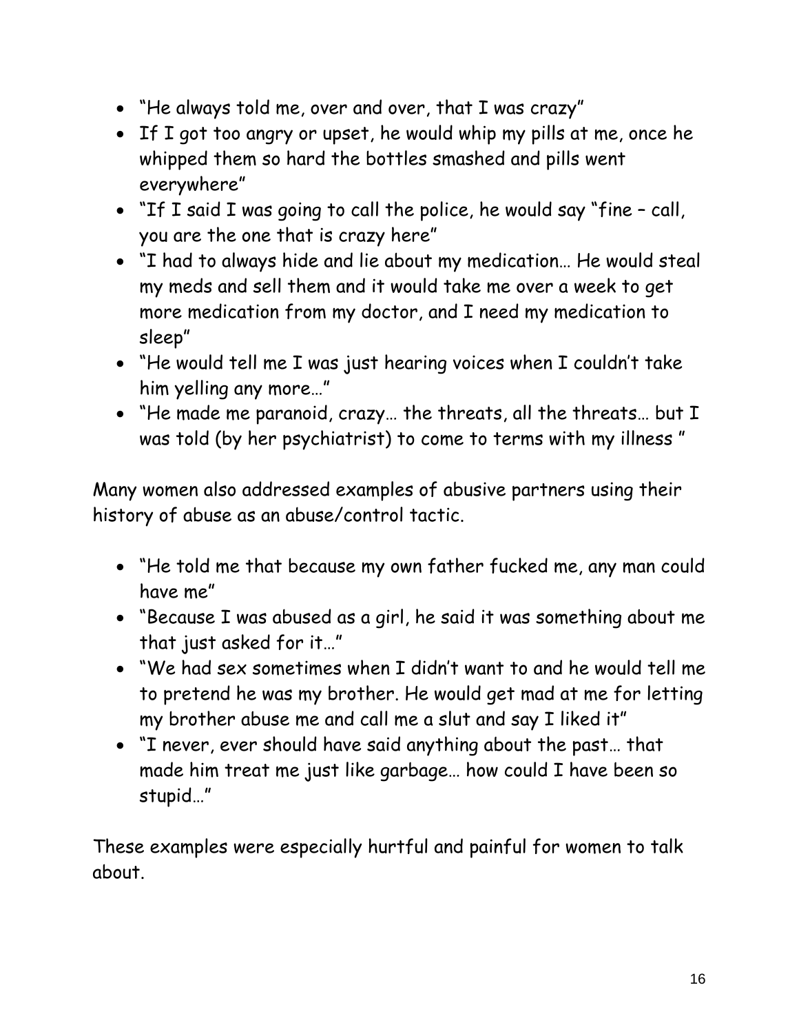- "He always told me, over and over, that I was crazy"
- If I got too angry or upset, he would whip my pills at me, once he whipped them so hard the bottles smashed and pills went everywhere"
- "If I said I was going to call the police, he would say "fine call, you are the one that is crazy here"
- "I had to always hide and lie about my medication… He would steal my meds and sell them and it would take me over a week to get more medication from my doctor, and I need my medication to sleep"
- "He would tell me I was just hearing voices when I couldn't take him yelling any more…"
- "He made me paranoid, crazy… the threats, all the threats… but I was told (by her psychiatrist) to come to terms with my illness "

Many women also addressed examples of abusive partners using their history of abuse as an abuse/control tactic.

- "He told me that because my own father fucked me, any man could have me"
- "Because I was abused as a girl, he said it was something about me that just asked for it…"
- "We had sex sometimes when I didn't want to and he would tell me to pretend he was my brother. He would get mad at me for letting my brother abuse me and call me a slut and say I liked it"
- "I never, ever should have said anything about the past… that made him treat me just like garbage… how could I have been so stupid…"

These examples were especially hurtful and painful for women to talk about.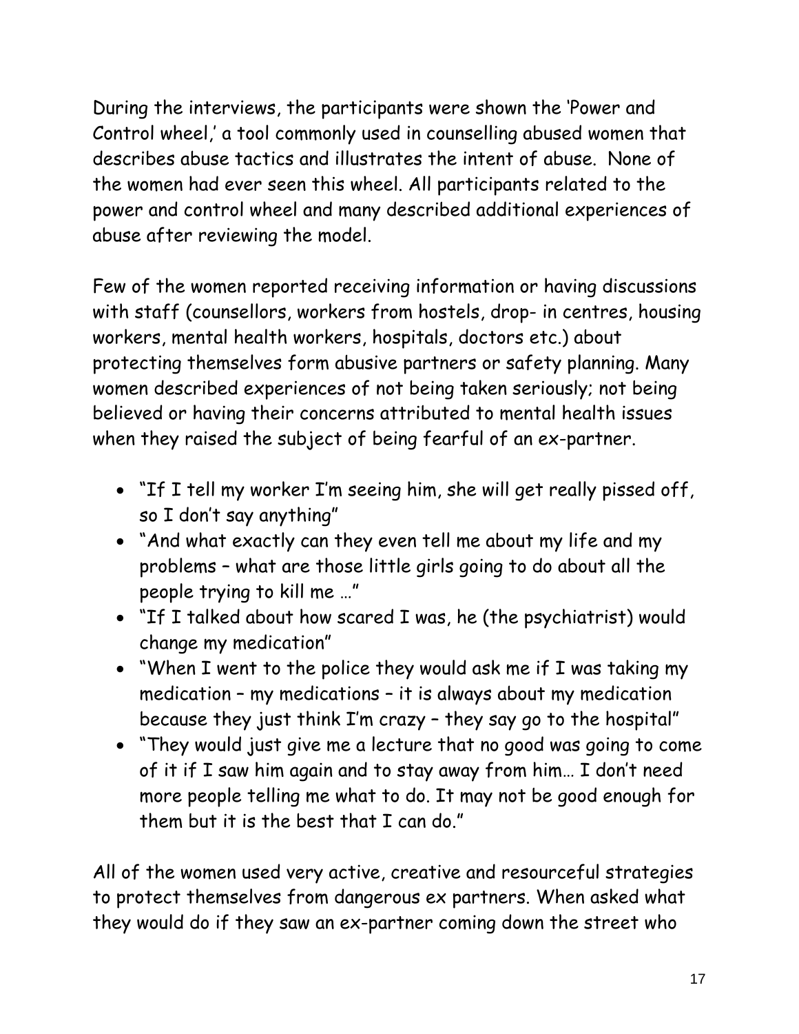During the interviews, the participants were shown the 'Power and Control wheel,' a tool commonly used in counselling abused women that describes abuse tactics and illustrates the intent of abuse. None of the women had ever seen this wheel. All participants related to the power and control wheel and many described additional experiences of abuse after reviewing the model.

Few of the women reported receiving information or having discussions with staff (counsellors, workers from hostels, drop- in centres, housing workers, mental health workers, hospitals, doctors etc.) about protecting themselves form abusive partners or safety planning. Many women described experiences of not being taken seriously; not being believed or having their concerns attributed to mental health issues when they raised the subject of being fearful of an ex-partner.

- "If I tell my worker I'm seeing him, she will get really pissed off, so I don't say anything"
- "And what exactly can they even tell me about my life and my problems – what are those little girls going to do about all the people trying to kill me …"
- "If I talked about how scared I was, he (the psychiatrist) would change my medication"
- "When I went to the police they would ask me if I was taking my medication – my medications – it is always about my medication because they just think I'm crazy – they say go to the hospital"
- "They would just give me a lecture that no good was going to come of it if I saw him again and to stay away from him… I don't need more people telling me what to do. It may not be good enough for them but it is the best that I can do."

All of the women used very active, creative and resourceful strategies to protect themselves from dangerous ex partners. When asked what they would do if they saw an ex-partner coming down the street who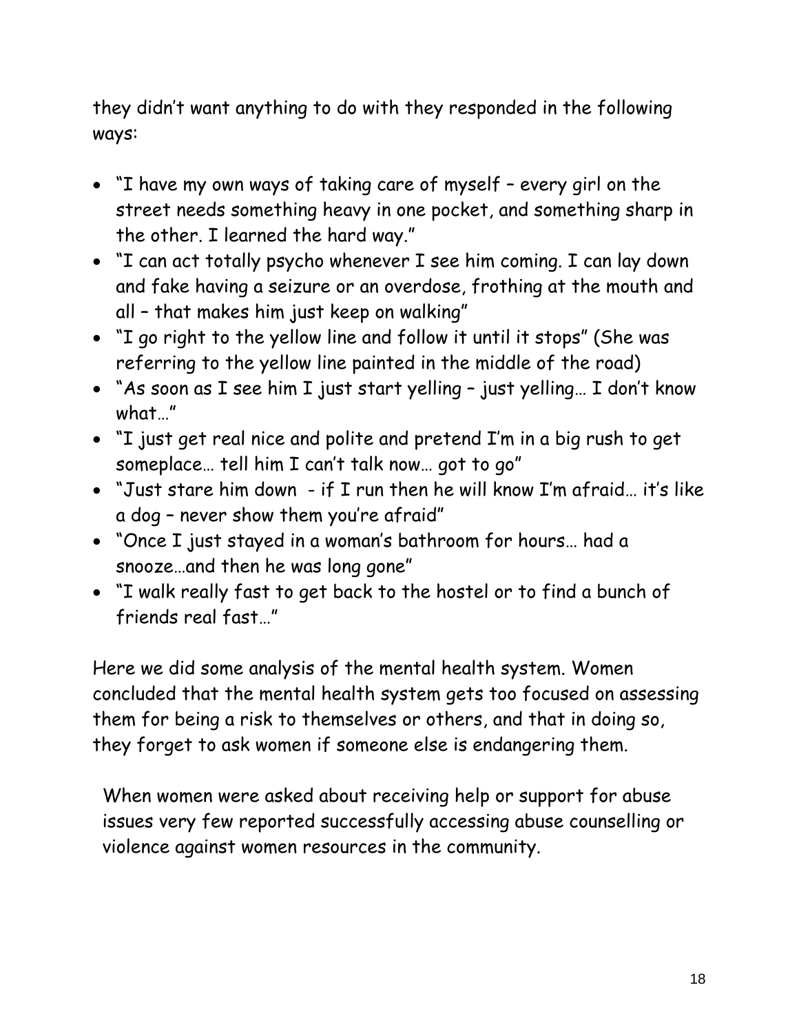they didn't want anything to do with they responded in the following ways:

- "I have my own ways of taking care of myself every girl on the street needs something heavy in one pocket, and something sharp in the other. I learned the hard way."
- "I can act totally psycho whenever I see him coming. I can lay down and fake having a seizure or an overdose, frothing at the mouth and all – that makes him just keep on walking"
- "I go right to the yellow line and follow it until it stops" (She was referring to the yellow line painted in the middle of the road)
- "As soon as I see him I just start yelling just yelling… I don't know what…"
- "I just get real nice and polite and pretend I'm in a big rush to get someplace… tell him I can't talk now… got to go"
- "Just stare him down if I run then he will know I'm afraid… it's like a dog – never show them you're afraid"
- "Once I just stayed in a woman's bathroom for hours… had a snooze…and then he was long gone"
- "I walk really fast to get back to the hostel or to find a bunch of friends real fast…"

Here we did some analysis of the mental health system. Women concluded that the mental health system gets too focused on assessing them for being a risk to themselves or others, and that in doing so, they forget to ask women if someone else is endangering them.

When women were asked about receiving help or support for abuse issues very few reported successfully accessing abuse counselling or violence against women resources in the community.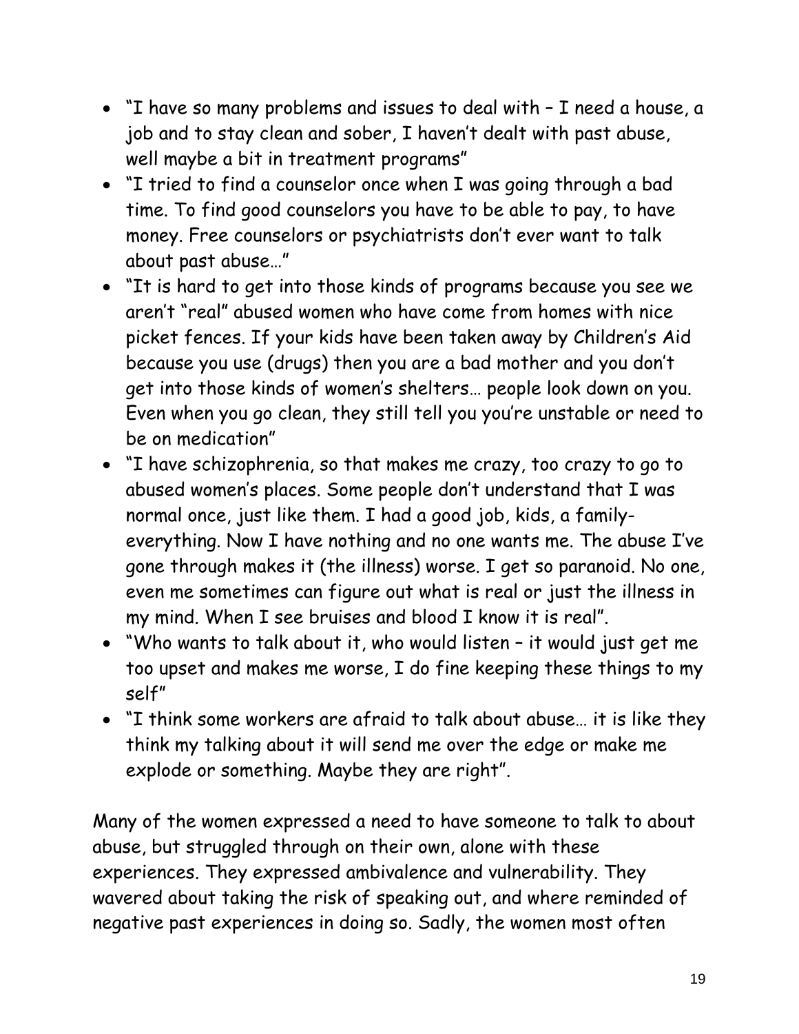- "I have so many problems and issues to deal with I need a house, a job and to stay clean and sober, I haven't dealt with past abuse, well maybe a bit in treatment programs"
- "I tried to find a counselor once when I was going through a bad time. To find good counselors you have to be able to pay, to have money. Free counselors or psychiatrists don't ever want to talk about past abuse…"
- "It is hard to get into those kinds of programs because you see we aren't "real" abused women who have come from homes with nice picket fences. If your kids have been taken away by Children's Aid because you use (drugs) then you are a bad mother and you don't get into those kinds of women's shelters… people look down on you. Even when you go clean, they still tell you you're unstable or need to be on medication"
- "I have schizophrenia, so that makes me crazy, too crazy to go to abused women's places. Some people don't understand that I was normal once, just like them. I had a good job, kids, a familyeverything. Now I have nothing and no one wants me. The abuse I've gone through makes it (the illness) worse. I get so paranoid. No one, even me sometimes can figure out what is real or just the illness in my mind. When I see bruises and blood I know it is real".
- "Who wants to talk about it, who would listen it would just get me too upset and makes me worse, I do fine keeping these things to my self"
- "I think some workers are afraid to talk about abuse… it is like they think my talking about it will send me over the edge or make me explode or something. Maybe they are right".

Many of the women expressed a need to have someone to talk to about abuse, but struggled through on their own, alone with these experiences. They expressed ambivalence and vulnerability. They wavered about taking the risk of speaking out, and where reminded of negative past experiences in doing so. Sadly, the women most often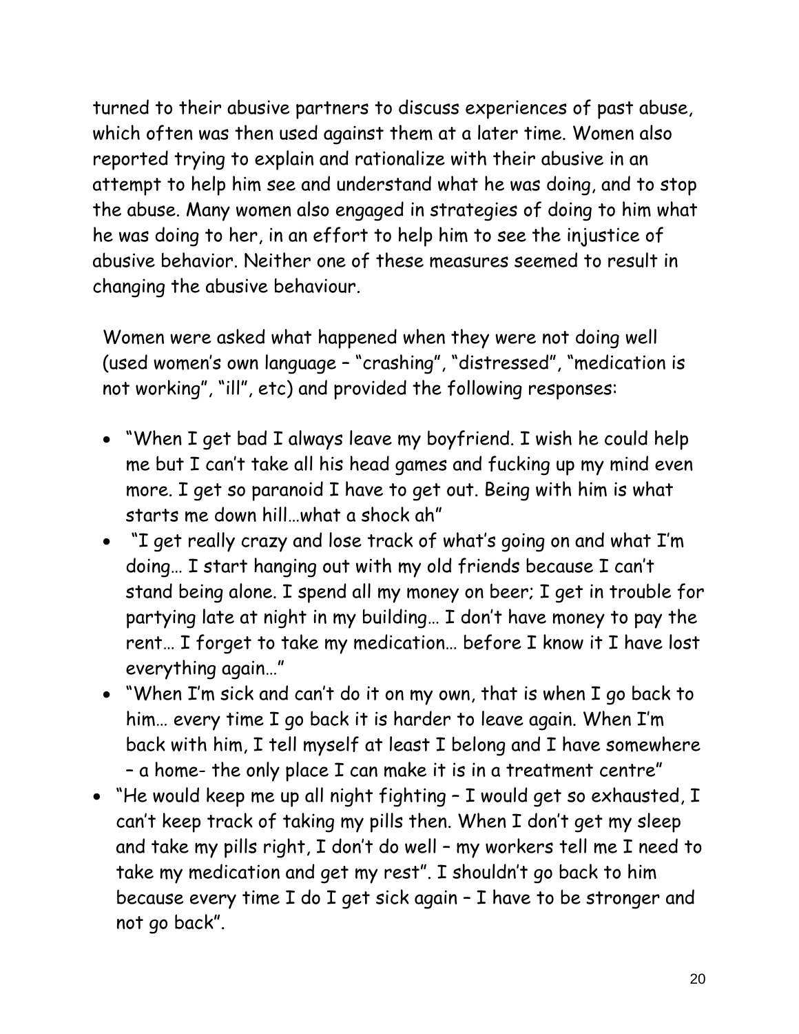turned to their abusive partners to discuss experiences of past abuse, which often was then used against them at a later time. Women also reported trying to explain and rationalize with their abusive in an attempt to help him see and understand what he was doing, and to stop the abuse. Many women also engaged in strategies of doing to him what he was doing to her, in an effort to help him to see the injustice of abusive behavior. Neither one of these measures seemed to result in changing the abusive behaviour.

Women were asked what happened when they were not doing well (used women's own language – "crashing", "distressed", "medication is not working", "ill", etc) and provided the following responses:

- "When I get bad I always leave my boyfriend. I wish he could help me but I can't take all his head games and fucking up my mind even more. I get so paranoid I have to get out. Being with him is what starts me down hill…what a shock ah"
- "I get really crazy and lose track of what's going on and what I'm doing… I start hanging out with my old friends because I can't stand being alone. I spend all my money on beer; I get in trouble for partying late at night in my building… I don't have money to pay the rent… I forget to take my medication… before I know it I have lost everything again…"
- "When I'm sick and can't do it on my own, that is when I go back to him… every time I go back it is harder to leave again. When I'm back with him, I tell myself at least I belong and I have somewhere – a home- the only place I can make it is in a treatment centre"
- "He would keep me up all night fighting I would get so exhausted, I can't keep track of taking my pills then. When I don't get my sleep and take my pills right, I don't do well – my workers tell me I need to take my medication and get my rest". I shouldn't go back to him because every time I do I get sick again – I have to be stronger and not go back".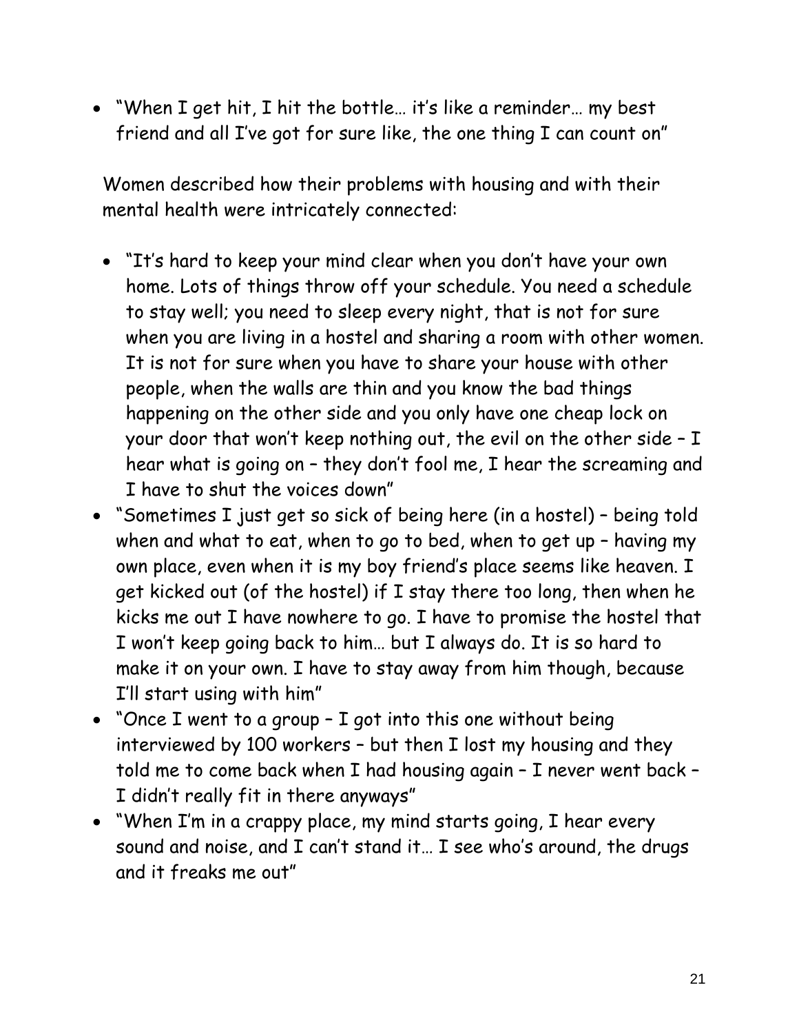• "When I get hit, I hit the bottle… it's like a reminder… my best friend and all I've got for sure like, the one thing I can count on"

Women described how their problems with housing and with their mental health were intricately connected:

- "It's hard to keep your mind clear when you don't have your own home. Lots of things throw off your schedule. You need a schedule to stay well; you need to sleep every night, that is not for sure when you are living in a hostel and sharing a room with other women. It is not for sure when you have to share your house with other people, when the walls are thin and you know the bad things happening on the other side and you only have one cheap lock on your door that won't keep nothing out, the evil on the other side – I hear what is going on – they don't fool me, I hear the screaming and I have to shut the voices down"
- "Sometimes I just get so sick of being here (in a hostel) being told when and what to eat, when to go to bed, when to get up – having my own place, even when it is my boy friend's place seems like heaven. I get kicked out (of the hostel) if I stay there too long, then when he kicks me out I have nowhere to go. I have to promise the hostel that I won't keep going back to him… but I always do. It is so hard to make it on your own. I have to stay away from him though, because I'll start using with him"
- "Once I went to a group I got into this one without being interviewed by 100 workers – but then I lost my housing and they told me to come back when I had housing again – I never went back – I didn't really fit in there anyways"
- "When I'm in a crappy place, my mind starts going, I hear every sound and noise, and I can't stand it… I see who's around, the drugs and it freaks me out"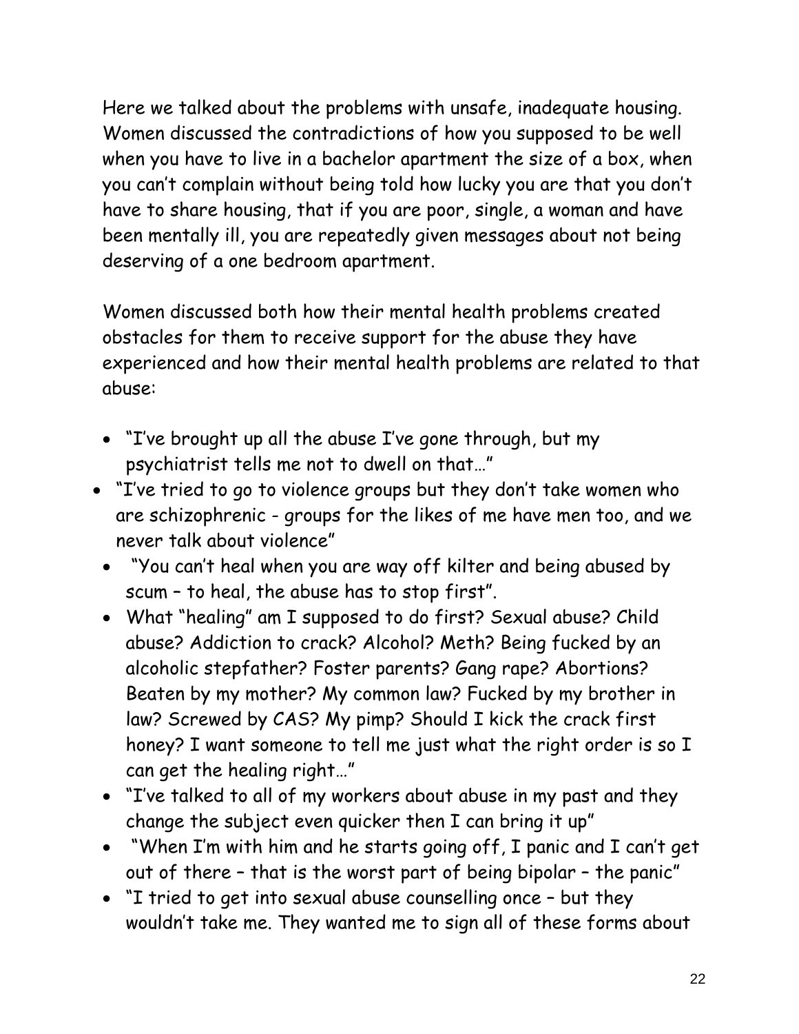Here we talked about the problems with unsafe, inadequate housing. Women discussed the contradictions of how you supposed to be well when you have to live in a bachelor apartment the size of a box, when you can't complain without being told how lucky you are that you don't have to share housing, that if you are poor, single, a woman and have been mentally ill, you are repeatedly given messages about not being deserving of a one bedroom apartment.

Women discussed both how their mental health problems created obstacles for them to receive support for the abuse they have experienced and how their mental health problems are related to that abuse:

- "I've brought up all the abuse I've gone through, but my psychiatrist tells me not to dwell on that…"
- "I've tried to go to violence groups but they don't take women who are schizophrenic - groups for the likes of me have men too, and we never talk about violence"
	- "You can't heal when you are way off kilter and being abused by scum – to heal, the abuse has to stop first".
	- What "healing" am I supposed to do first? Sexual abuse? Child abuse? Addiction to crack? Alcohol? Meth? Being fucked by an alcoholic stepfather? Foster parents? Gang rape? Abortions? Beaten by my mother? My common law? Fucked by my brother in law? Screwed by CAS? My pimp? Should I kick the crack first honey? I want someone to tell me just what the right order is so I can get the healing right…"
	- "I've talked to all of my workers about abuse in my past and they change the subject even quicker then I can bring it up"
	- "When I'm with him and he starts going off, I panic and I can't get out of there – that is the worst part of being bipolar – the panic"
	- "I tried to get into sexual abuse counselling once but they wouldn't take me. They wanted me to sign all of these forms about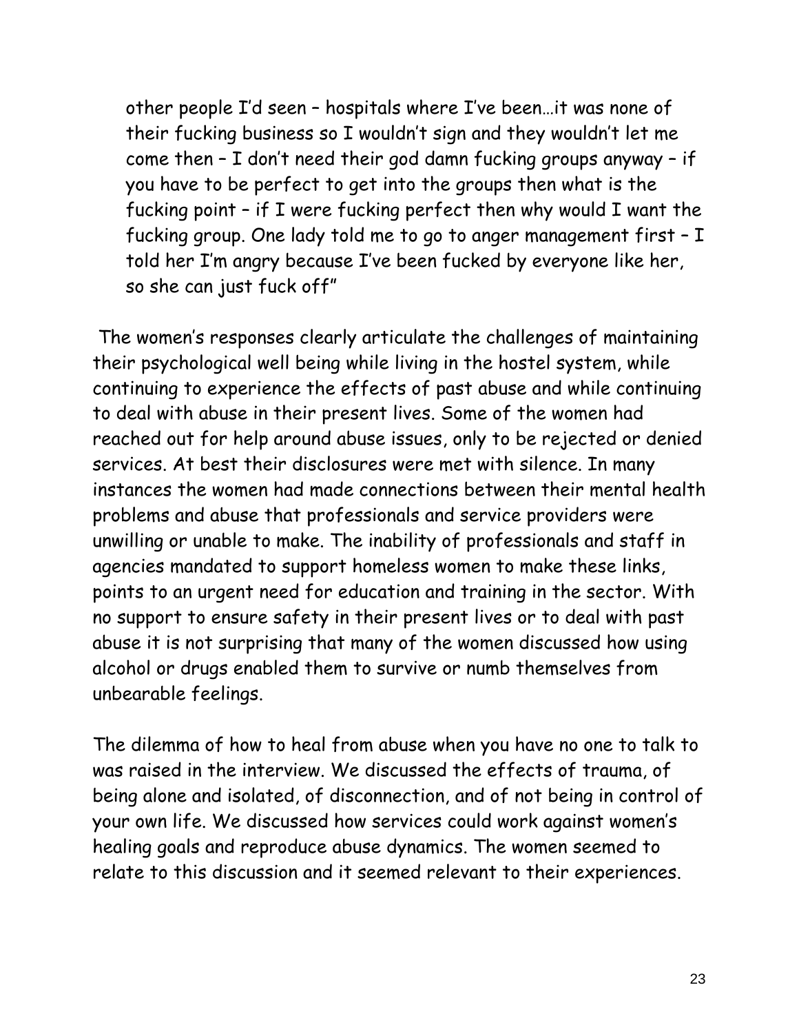other people I'd seen – hospitals where I've been…it was none of their fucking business so I wouldn't sign and they wouldn't let me come then – I don't need their god damn fucking groups anyway – if you have to be perfect to get into the groups then what is the fucking point – if I were fucking perfect then why would I want the fucking group. One lady told me to go to anger management first – I told her I'm angry because I've been fucked by everyone like her, so she can just fuck off"

 The women's responses clearly articulate the challenges of maintaining their psychological well being while living in the hostel system, while continuing to experience the effects of past abuse and while continuing to deal with abuse in their present lives. Some of the women had reached out for help around abuse issues, only to be rejected or denied services. At best their disclosures were met with silence. In many instances the women had made connections between their mental health problems and abuse that professionals and service providers were unwilling or unable to make. The inability of professionals and staff in agencies mandated to support homeless women to make these links, points to an urgent need for education and training in the sector. With no support to ensure safety in their present lives or to deal with past abuse it is not surprising that many of the women discussed how using alcohol or drugs enabled them to survive or numb themselves from unbearable feelings.

The dilemma of how to heal from abuse when you have no one to talk to was raised in the interview. We discussed the effects of trauma, of being alone and isolated, of disconnection, and of not being in control of your own life. We discussed how services could work against women's healing goals and reproduce abuse dynamics. The women seemed to relate to this discussion and it seemed relevant to their experiences.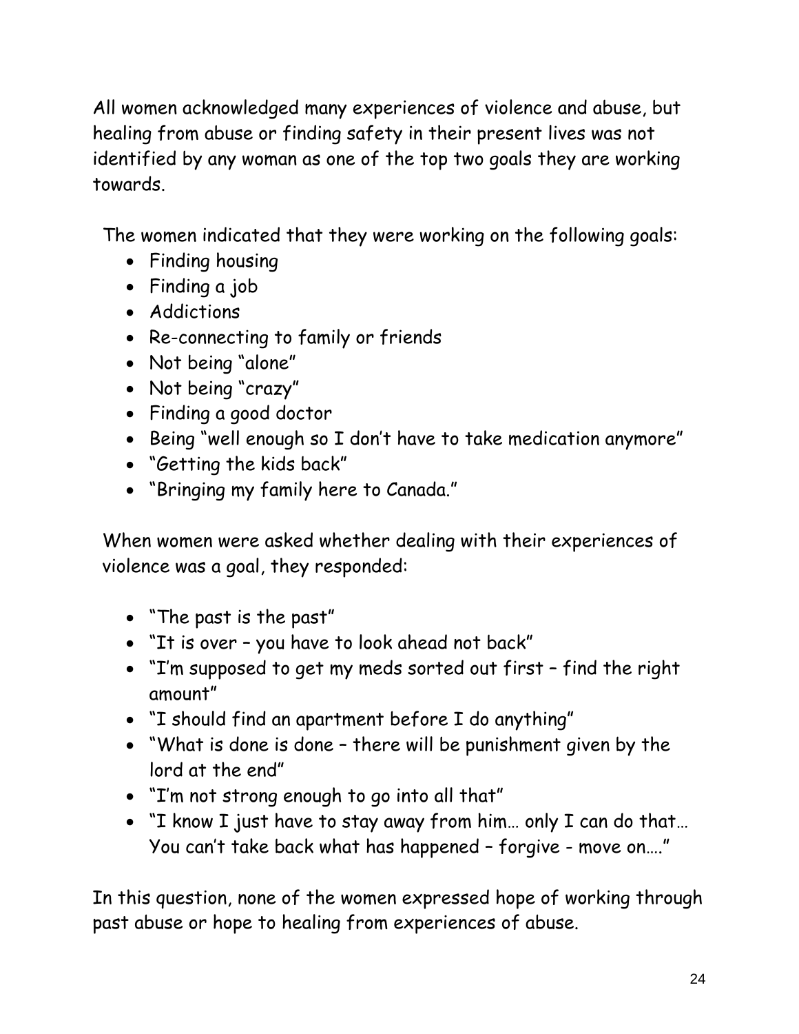All women acknowledged many experiences of violence and abuse, but healing from abuse or finding safety in their present lives was not identified by any woman as one of the top two goals they are working towards.

The women indicated that they were working on the following goals:

- Finding housing
- Finding a job
- Addictions
- Re-connecting to family or friends
- Not being "alone"
- Not being "crazy"
- Finding a good doctor
- Being "well enough so I don't have to take medication anymore"
- "Getting the kids back"
- "Bringing my family here to Canada."

When women were asked whether dealing with their experiences of violence was a goal, they responded:

- "The past is the past"
- "It is over you have to look ahead not back"
- "I'm supposed to get my meds sorted out first find the right amount"
- "I should find an apartment before I do anything"
- "What is done is done there will be punishment given by the lord at the end"
- "I'm not strong enough to go into all that"
- "I know I just have to stay away from him… only I can do that… You can't take back what has happened – forgive - move on…."

In this question, none of the women expressed hope of working through past abuse or hope to healing from experiences of abuse.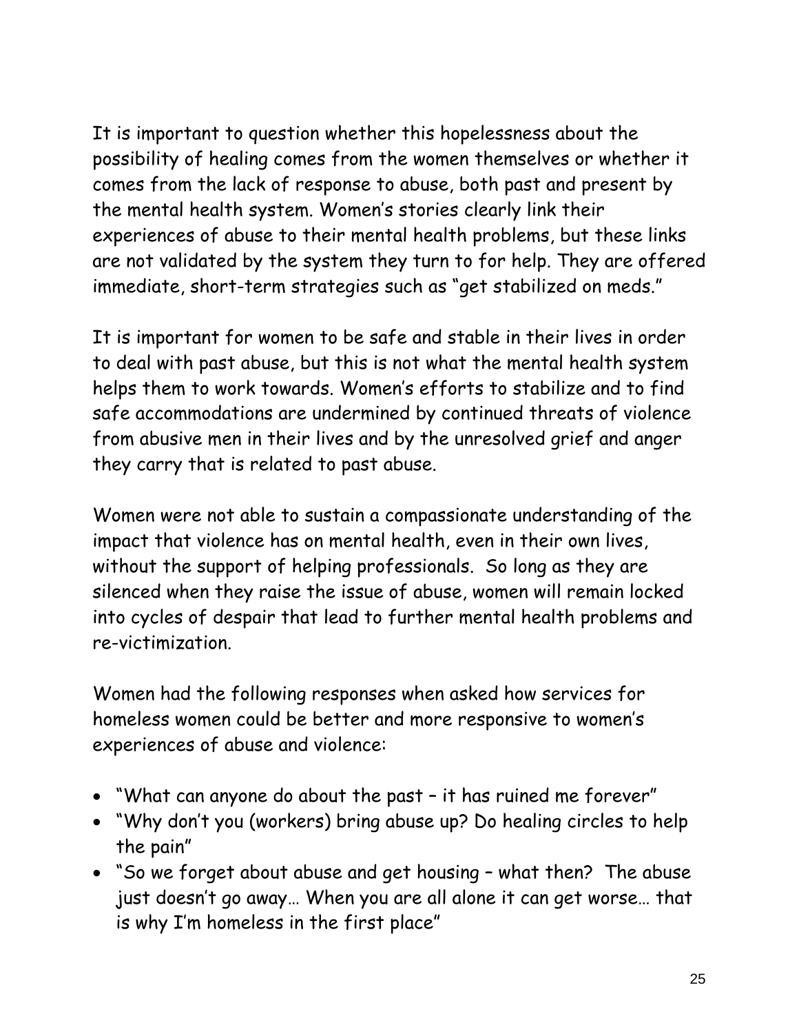It is important to question whether this hopelessness about the possibility of healing comes from the women themselves or whether it comes from the lack of response to abuse, both past and present by the mental health system. Women's stories clearly link their experiences of abuse to their mental health problems, but these links are not validated by the system they turn to for help. They are offered immediate, short-term strategies such as "get stabilized on meds."

It is important for women to be safe and stable in their lives in order to deal with past abuse, but this is not what the mental health system helps them to work towards. Women's efforts to stabilize and to find safe accommodations are undermined by continued threats of violence from abusive men in their lives and by the unresolved grief and anger they carry that is related to past abuse.

Women were not able to sustain a compassionate understanding of the impact that violence has on mental health, even in their own lives, without the support of helping professionals. So long as they are silenced when they raise the issue of abuse, women will remain locked into cycles of despair that lead to further mental health problems and re-victimization.

Women had the following responses when asked how services for homeless women could be better and more responsive to women's experiences of abuse and violence:

- "What can anyone do about the past it has ruined me forever"
- "Why don't you (workers) bring abuse up? Do healing circles to help the pain"
- "So we forget about abuse and get housing what then? The abuse just doesn't go away… When you are all alone it can get worse… that is why I'm homeless in the first place"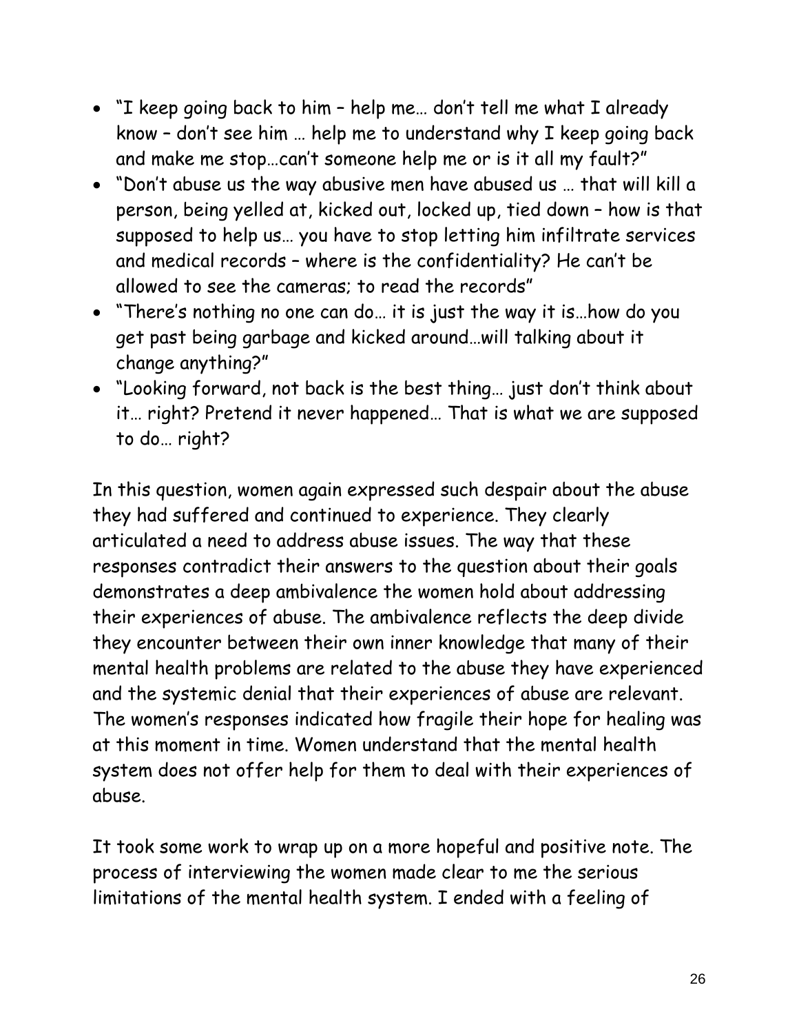- "I keep going back to him help me… don't tell me what I already know – don't see him … help me to understand why I keep going back and make me stop…can't someone help me or is it all my fault?"
- "Don't abuse us the way abusive men have abused us … that will kill a person, being yelled at, kicked out, locked up, tied down – how is that supposed to help us… you have to stop letting him infiltrate services and medical records – where is the confidentiality? He can't be allowed to see the cameras; to read the records"
- "There's nothing no one can do… it is just the way it is…how do you get past being garbage and kicked around…will talking about it change anything?"
- "Looking forward, not back is the best thing… just don't think about it… right? Pretend it never happened… That is what we are supposed to do… right?

In this question, women again expressed such despair about the abuse they had suffered and continued to experience. They clearly articulated a need to address abuse issues. The way that these responses contradict their answers to the question about their goals demonstrates a deep ambivalence the women hold about addressing their experiences of abuse. The ambivalence reflects the deep divide they encounter between their own inner knowledge that many of their mental health problems are related to the abuse they have experienced and the systemic denial that their experiences of abuse are relevant. The women's responses indicated how fragile their hope for healing was at this moment in time. Women understand that the mental health system does not offer help for them to deal with their experiences of abuse.

It took some work to wrap up on a more hopeful and positive note. The process of interviewing the women made clear to me the serious limitations of the mental health system. I ended with a feeling of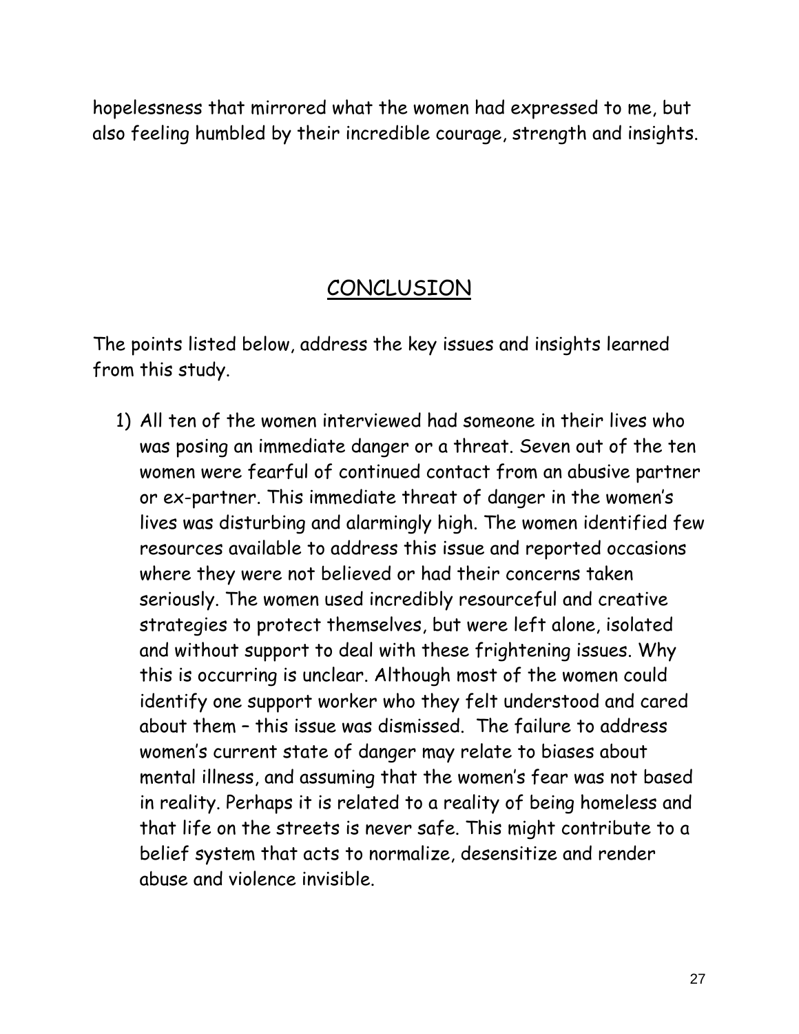hopelessness that mirrored what the women had expressed to me, but also feeling humbled by their incredible courage, strength and insights.

### CONCLUSION

The points listed below, address the key issues and insights learned from this study.

1) All ten of the women interviewed had someone in their lives who was posing an immediate danger or a threat. Seven out of the ten women were fearful of continued contact from an abusive partner or ex-partner. This immediate threat of danger in the women's lives was disturbing and alarmingly high. The women identified few resources available to address this issue and reported occasions where they were not believed or had their concerns taken seriously. The women used incredibly resourceful and creative strategies to protect themselves, but were left alone, isolated and without support to deal with these frightening issues. Why this is occurring is unclear. Although most of the women could identify one support worker who they felt understood and cared about them – this issue was dismissed. The failure to address women's current state of danger may relate to biases about mental illness, and assuming that the women's fear was not based in reality. Perhaps it is related to a reality of being homeless and that life on the streets is never safe. This might contribute to a belief system that acts to normalize, desensitize and render abuse and violence invisible.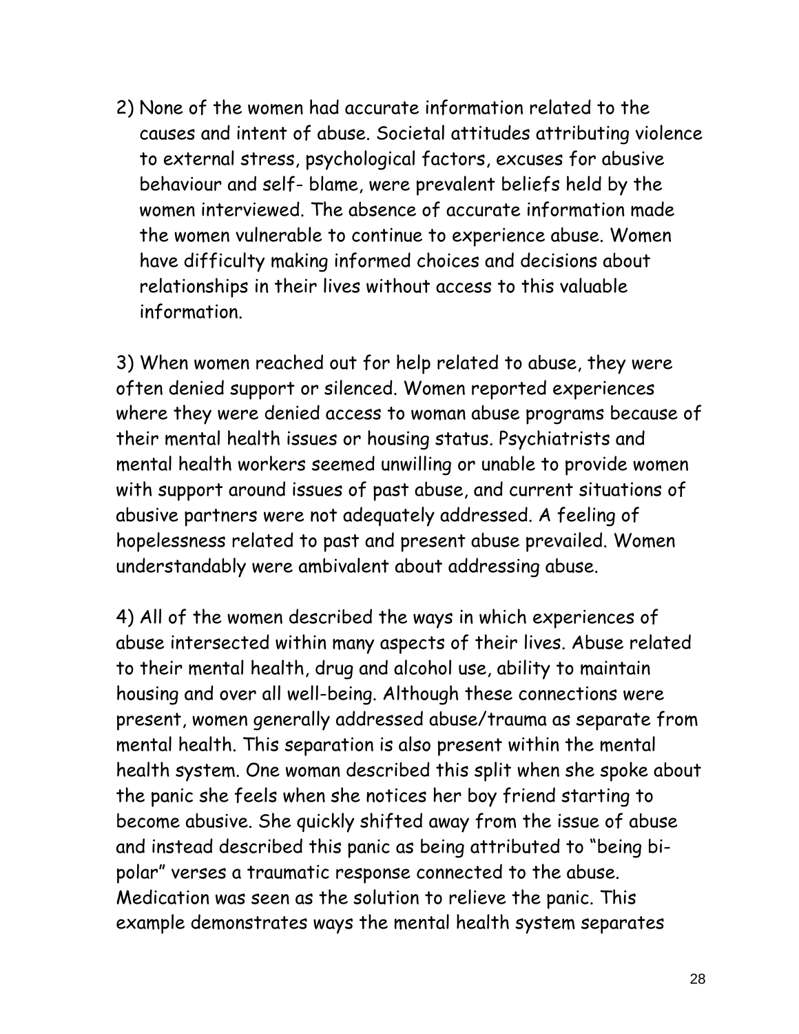2) None of the women had accurate information related to the causes and intent of abuse. Societal attitudes attributing violence to external stress, psychological factors, excuses for abusive behaviour and self- blame, were prevalent beliefs held by the women interviewed. The absence of accurate information made the women vulnerable to continue to experience abuse. Women have difficulty making informed choices and decisions about relationships in their lives without access to this valuable information.

3) When women reached out for help related to abuse, they were often denied support or silenced. Women reported experiences where they were denied access to woman abuse programs because of their mental health issues or housing status. Psychiatrists and mental health workers seemed unwilling or unable to provide women with support around issues of past abuse, and current situations of abusive partners were not adequately addressed. A feeling of hopelessness related to past and present abuse prevailed. Women understandably were ambivalent about addressing abuse.

4) All of the women described the ways in which experiences of abuse intersected within many aspects of their lives. Abuse related to their mental health, drug and alcohol use, ability to maintain housing and over all well-being. Although these connections were present, women generally addressed abuse/trauma as separate from mental health. This separation is also present within the mental health system. One woman described this split when she spoke about the panic she feels when she notices her boy friend starting to become abusive. She quickly shifted away from the issue of abuse and instead described this panic as being attributed to "being bipolar" verses a traumatic response connected to the abuse. Medication was seen as the solution to relieve the panic. This example demonstrates ways the mental health system separates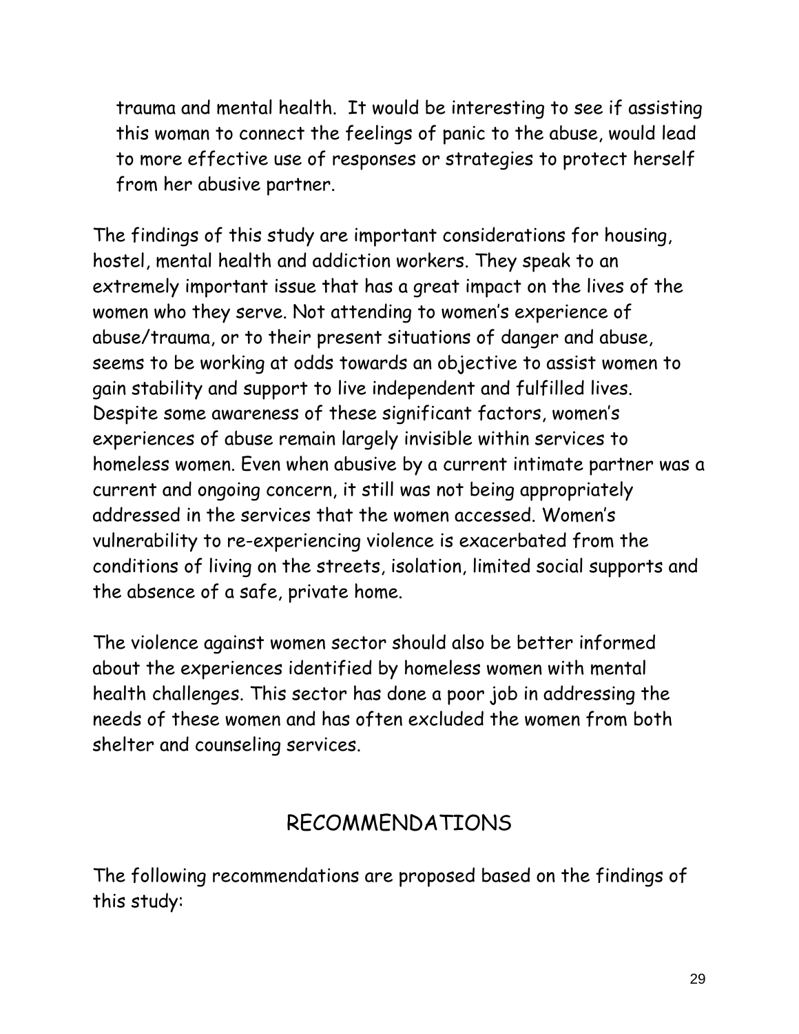trauma and mental health. It would be interesting to see if assisting this woman to connect the feelings of panic to the abuse, would lead to more effective use of responses or strategies to protect herself from her abusive partner.

The findings of this study are important considerations for housing, hostel, mental health and addiction workers. They speak to an extremely important issue that has a great impact on the lives of the women who they serve. Not attending to women's experience of abuse/trauma, or to their present situations of danger and abuse, seems to be working at odds towards an objective to assist women to gain stability and support to live independent and fulfilled lives. Despite some awareness of these significant factors, women's experiences of abuse remain largely invisible within services to homeless women. Even when abusive by a current intimate partner was a current and ongoing concern, it still was not being appropriately addressed in the services that the women accessed. Women's vulnerability to re-experiencing violence is exacerbated from the conditions of living on the streets, isolation, limited social supports and the absence of a safe, private home.

The violence against women sector should also be better informed about the experiences identified by homeless women with mental health challenges. This sector has done a poor job in addressing the needs of these women and has often excluded the women from both shelter and counseling services.

#### RECOMMENDATIONS

The following recommendations are proposed based on the findings of this study: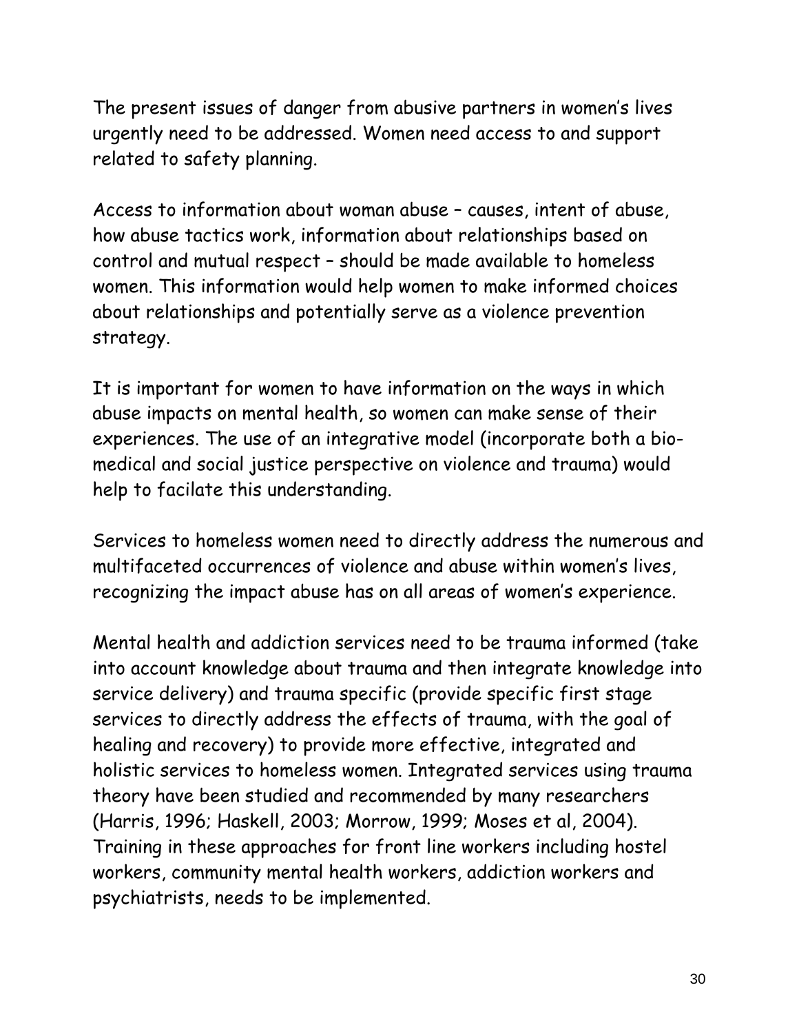The present issues of danger from abusive partners in women's lives urgently need to be addressed. Women need access to and support related to safety planning.

Access to information about woman abuse – causes, intent of abuse, how abuse tactics work, information about relationships based on control and mutual respect – should be made available to homeless women. This information would help women to make informed choices about relationships and potentially serve as a violence prevention strategy.

It is important for women to have information on the ways in which abuse impacts on mental health, so women can make sense of their experiences. The use of an integrative model (incorporate both a biomedical and social justice perspective on violence and trauma) would help to facilate this understanding.

Services to homeless women need to directly address the numerous and multifaceted occurrences of violence and abuse within women's lives, recognizing the impact abuse has on all areas of women's experience.

Mental health and addiction services need to be trauma informed (take into account knowledge about trauma and then integrate knowledge into service delivery) and trauma specific (provide specific first stage services to directly address the effects of trauma, with the goal of healing and recovery) to provide more effective, integrated and holistic services to homeless women. Integrated services using trauma theory have been studied and recommended by many researchers (Harris, 1996; Haskell, 2003; Morrow, 1999; Moses et al, 2004). Training in these approaches for front line workers including hostel workers, community mental health workers, addiction workers and psychiatrists, needs to be implemented.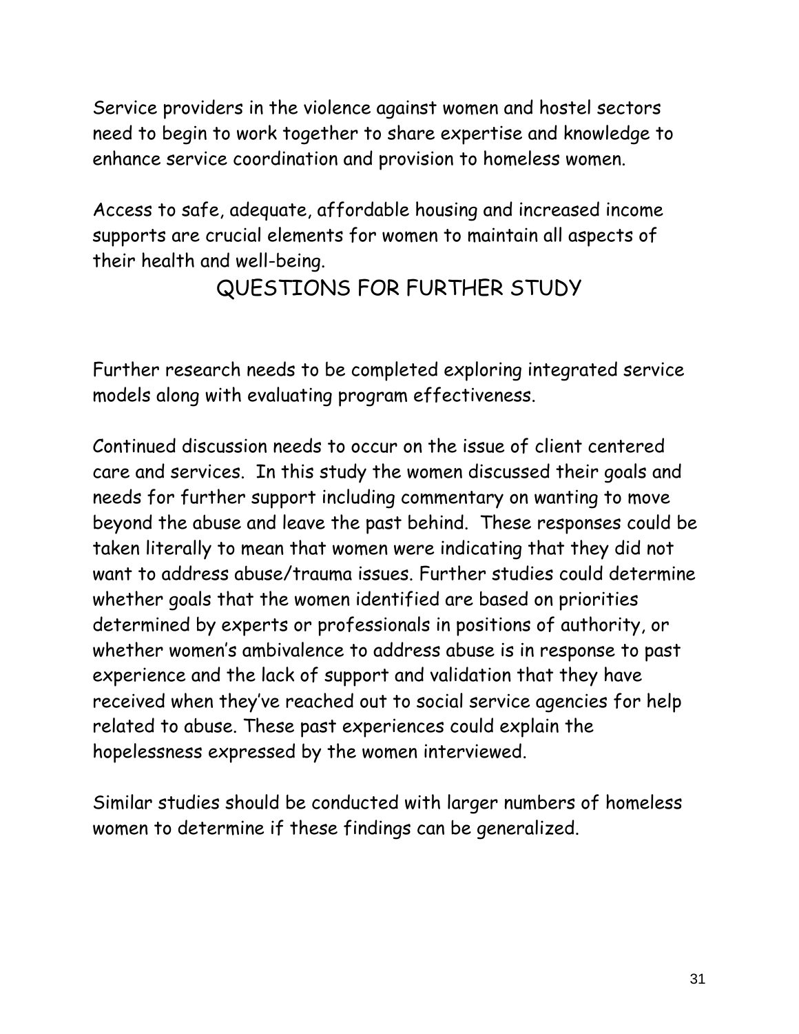Service providers in the violence against women and hostel sectors need to begin to work together to share expertise and knowledge to enhance service coordination and provision to homeless women.

Access to safe, adequate, affordable housing and increased income supports are crucial elements for women to maintain all aspects of their health and well-being.

#### QUESTIONS FOR FURTHER STUDY

Further research needs to be completed exploring integrated service models along with evaluating program effectiveness.

Continued discussion needs to occur on the issue of client centered care and services. In this study the women discussed their goals and needs for further support including commentary on wanting to move beyond the abuse and leave the past behind. These responses could be taken literally to mean that women were indicating that they did not want to address abuse/trauma issues. Further studies could determine whether goals that the women identified are based on priorities determined by experts or professionals in positions of authority, or whether women's ambivalence to address abuse is in response to past experience and the lack of support and validation that they have received when they've reached out to social service agencies for help related to abuse. These past experiences could explain the hopelessness expressed by the women interviewed.

Similar studies should be conducted with larger numbers of homeless women to determine if these findings can be generalized.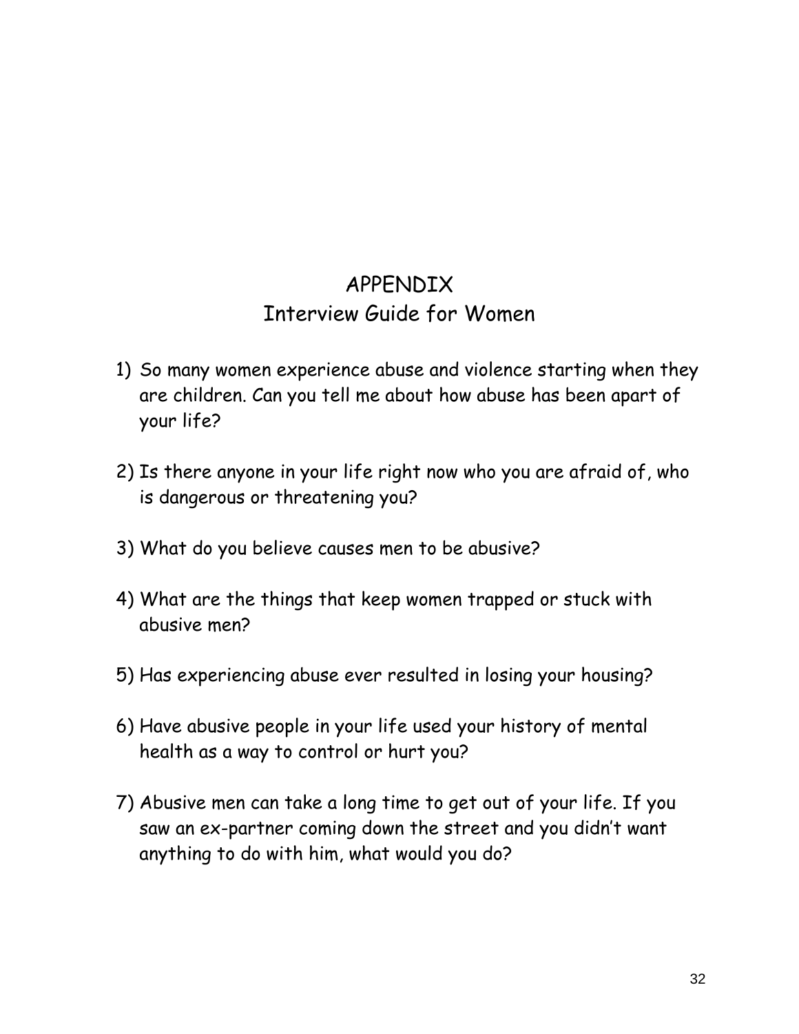#### APPENDIX Interview Guide for Women

- 1) So many women experience abuse and violence starting when they are children. Can you tell me about how abuse has been apart of your life?
- 2) Is there anyone in your life right now who you are afraid of, who is dangerous or threatening you?
- 3) What do you believe causes men to be abusive?
- 4) What are the things that keep women trapped or stuck with abusive men?
- 5) Has experiencing abuse ever resulted in losing your housing?
- 6) Have abusive people in your life used your history of mental health as a way to control or hurt you?
- 7) Abusive men can take a long time to get out of your life. If you saw an ex-partner coming down the street and you didn't want anything to do with him, what would you do?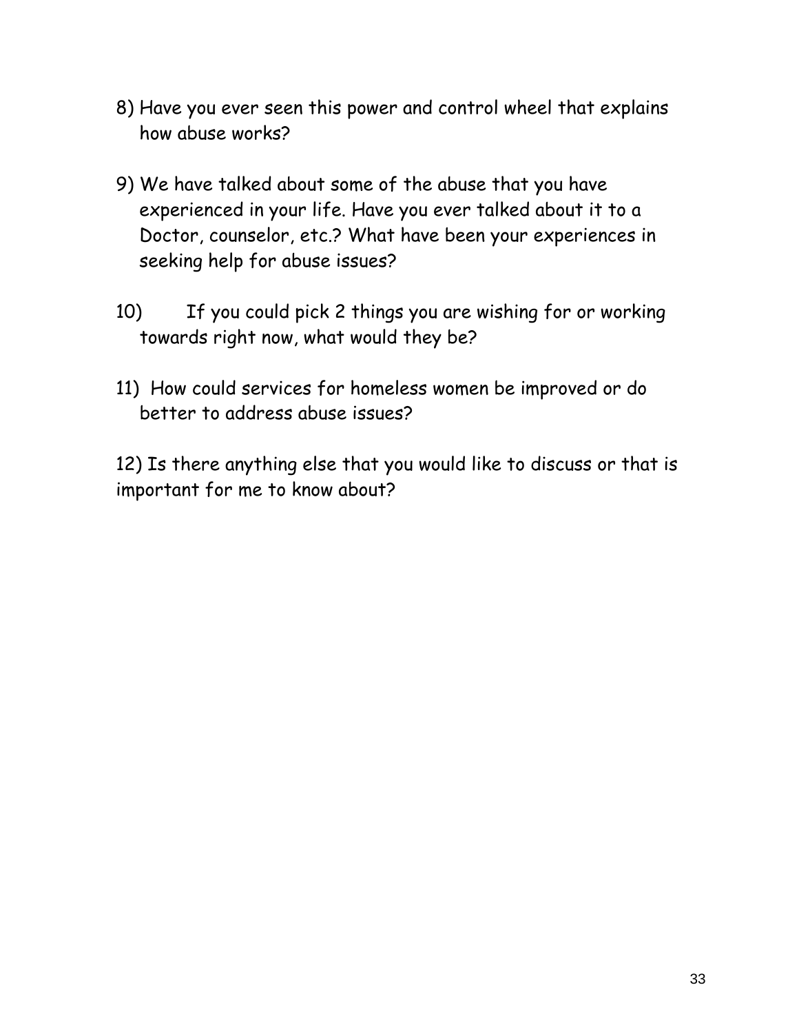- 8) Have you ever seen this power and control wheel that explains how abuse works?
- 9) We have talked about some of the abuse that you have experienced in your life. Have you ever talked about it to a Doctor, counselor, etc.? What have been your experiences in seeking help for abuse issues?
- 10) If you could pick 2 things you are wishing for or working towards right now, what would they be?
- 11) How could services for homeless women be improved or do better to address abuse issues?

12) Is there anything else that you would like to discuss or that is important for me to know about?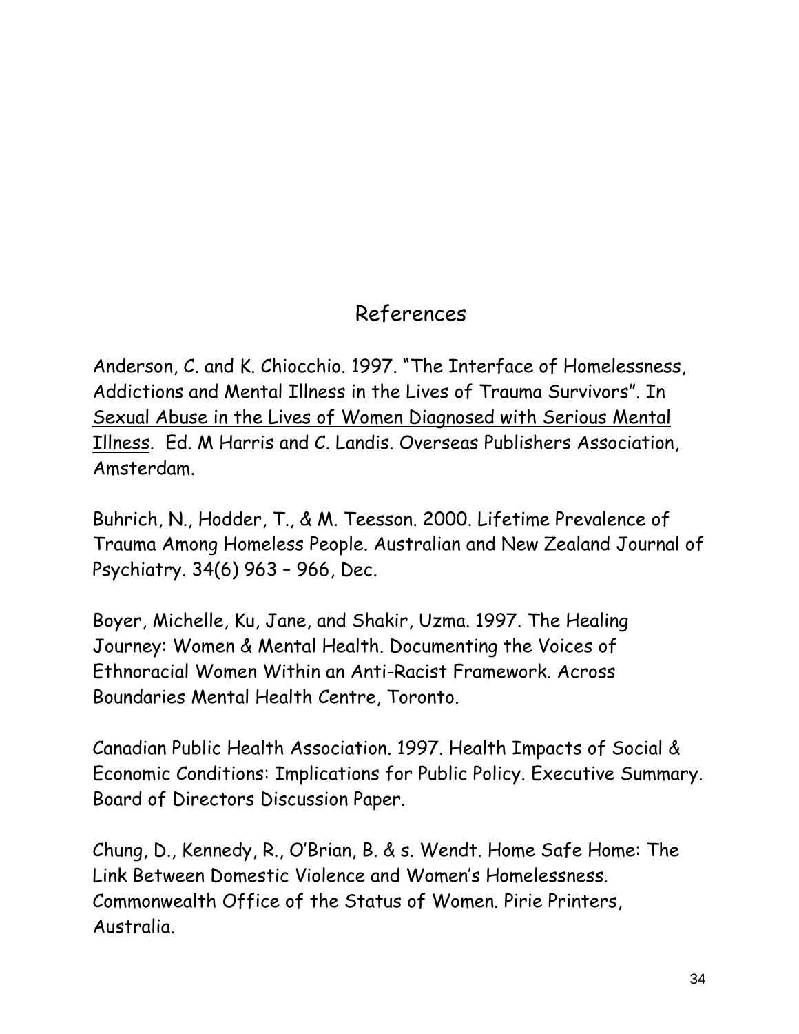# References

Anderson, C. and K. Chiocchio. 1997. "The Interface of Homelessness, Addictions and Mental Illness in the Lives of Trauma Survivors". In Sexual Abuse in the Lives of Women Diagnosed with Serious Mental Illness. Ed. M Harris and C. Landis. Overseas Publishers Association, Amsterdam.

Buhrich, N., Hodder, T., & M. Teesson. 2000. Lifetime Prevalence of Trauma Among Homeless People. Australian and New Zealand Journal of Psychiatry. 34(6) 963 – 966, Dec.

Boyer, Michelle, Ku, Jane, and Shakir, Uzma. 1997. The Healing Journey: Women & Mental Health. Documenting the Voices of Ethnoracial Women Within an Anti-Racist Framework. Across Boundaries Mental Health Centre, Toronto.

Canadian Public Health Association. 1997. Health Impacts of Social & Economic Conditions: Implications for Public Policy. Executive Summary. Board of Directors Discussion Paper.

Chung, D., Kennedy, R., O'Brian, B. & s. Wendt. Home Safe Home: The Link Between Domestic Violence and Women's Homelessness. Commonwealth Office of the Status of Women. Pirie Printers, Australia.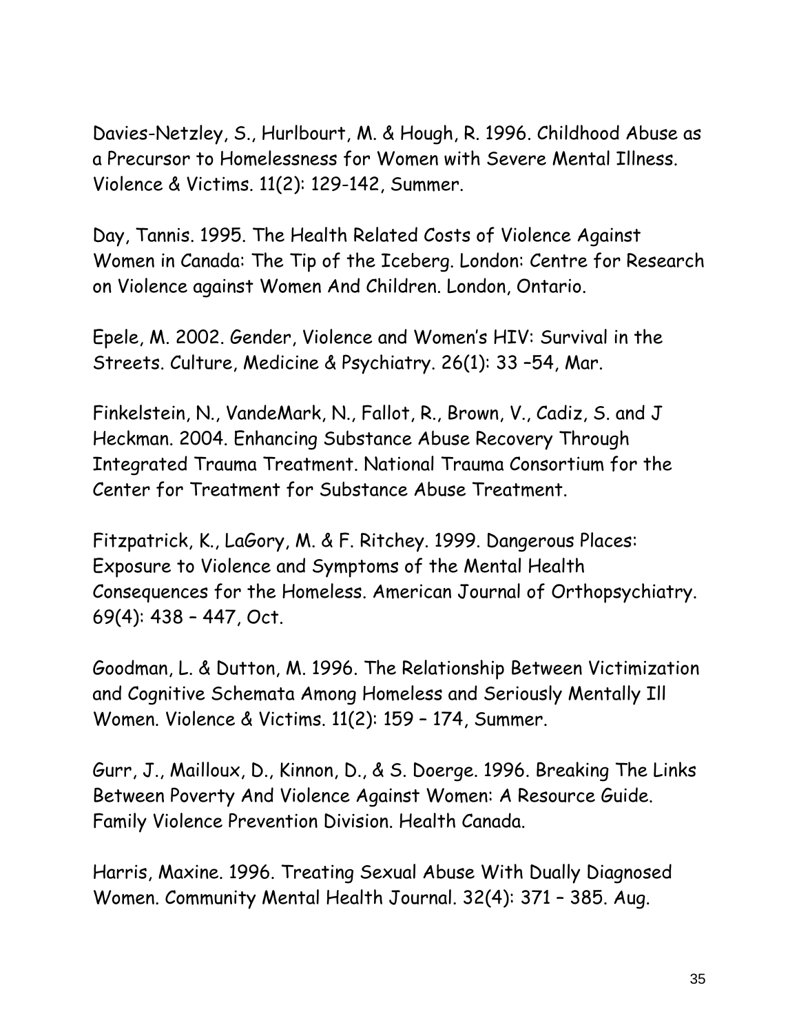Davies-Netzley, S., Hurlbourt, M. & Hough, R. 1996. Childhood Abuse as a Precursor to Homelessness for Women with Severe Mental Illness. Violence & Victims. 11(2): 129-142, Summer.

Day, Tannis. 1995. The Health Related Costs of Violence Against Women in Canada: The Tip of the Iceberg. London: Centre for Research on Violence against Women And Children. London, Ontario.

Epele, M. 2002. Gender, Violence and Women's HIV: Survival in the Streets. Culture, Medicine & Psychiatry. 26(1): 33 –54, Mar.

Finkelstein, N., VandeMark, N., Fallot, R., Brown, V., Cadiz, S. and J Heckman. 2004. Enhancing Substance Abuse Recovery Through Integrated Trauma Treatment. National Trauma Consortium for the Center for Treatment for Substance Abuse Treatment.

Fitzpatrick, K., LaGory, M. & F. Ritchey. 1999. Dangerous Places: Exposure to Violence and Symptoms of the Mental Health Consequences for the Homeless. American Journal of Orthopsychiatry. 69(4): 438 – 447, Oct.

Goodman, L. & Dutton, M. 1996. The Relationship Between Victimization and Cognitive Schemata Among Homeless and Seriously Mentally Ill Women. Violence & Victims. 11(2): 159 – 174, Summer.

Gurr, J., Mailloux, D., Kinnon, D., & S. Doerge. 1996. Breaking The Links Between Poverty And Violence Against Women: A Resource Guide. Family Violence Prevention Division. Health Canada.

Harris, Maxine. 1996. Treating Sexual Abuse With Dually Diagnosed Women. Community Mental Health Journal. 32(4): 371 – 385. Aug.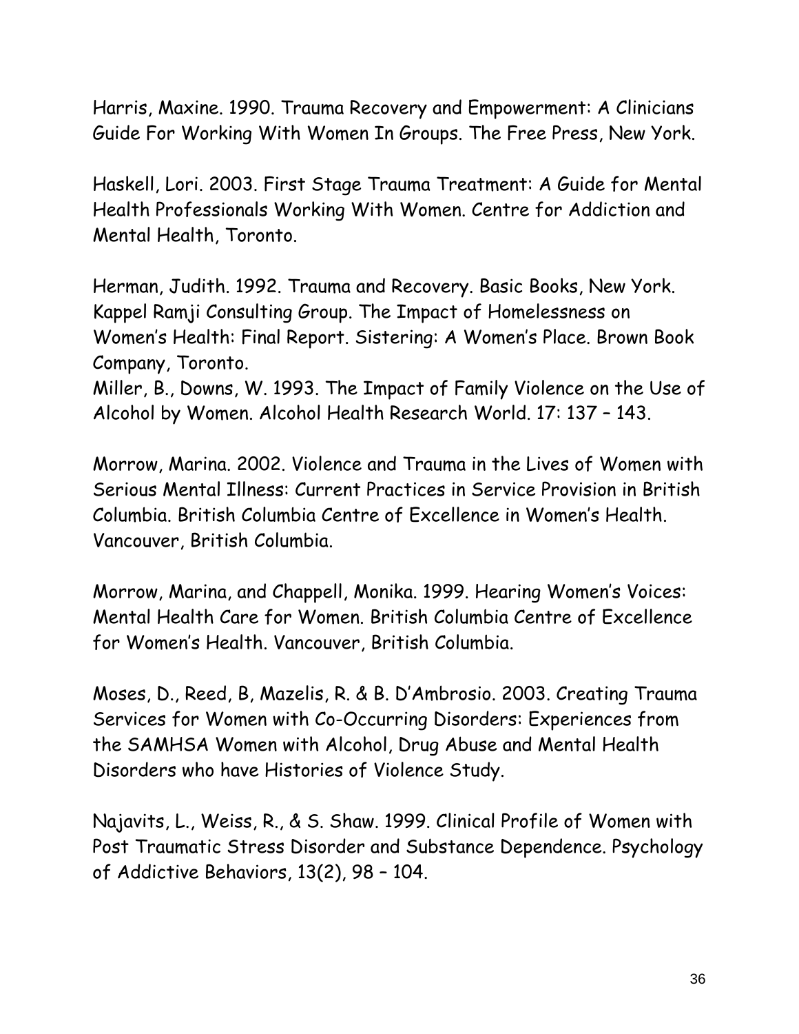Harris, Maxine. 1990. Trauma Recovery and Empowerment: A Clinicians Guide For Working With Women In Groups. The Free Press, New York.

Haskell, Lori. 2003. First Stage Trauma Treatment: A Guide for Mental Health Professionals Working With Women. Centre for Addiction and Mental Health, Toronto.

Herman, Judith. 1992. Trauma and Recovery. Basic Books, New York. Kappel Ramji Consulting Group. The Impact of Homelessness on Women's Health: Final Report. Sistering: A Women's Place. Brown Book Company, Toronto.

Miller, B., Downs, W. 1993. The Impact of Family Violence on the Use of Alcohol by Women. Alcohol Health Research World. 17: 137 – 143.

Morrow, Marina. 2002. Violence and Trauma in the Lives of Women with Serious Mental Illness: Current Practices in Service Provision in British Columbia. British Columbia Centre of Excellence in Women's Health. Vancouver, British Columbia.

Morrow, Marina, and Chappell, Monika. 1999. Hearing Women's Voices: Mental Health Care for Women. British Columbia Centre of Excellence for Women's Health. Vancouver, British Columbia.

Moses, D., Reed, B, Mazelis, R. & B. D'Ambrosio. 2003. Creating Trauma Services for Women with Co-Occurring Disorders: Experiences from the SAMHSA Women with Alcohol, Drug Abuse and Mental Health Disorders who have Histories of Violence Study.

Najavits, L., Weiss, R., & S. Shaw. 1999. Clinical Profile of Women with Post Traumatic Stress Disorder and Substance Dependence. Psychology of Addictive Behaviors, 13(2), 98 – 104.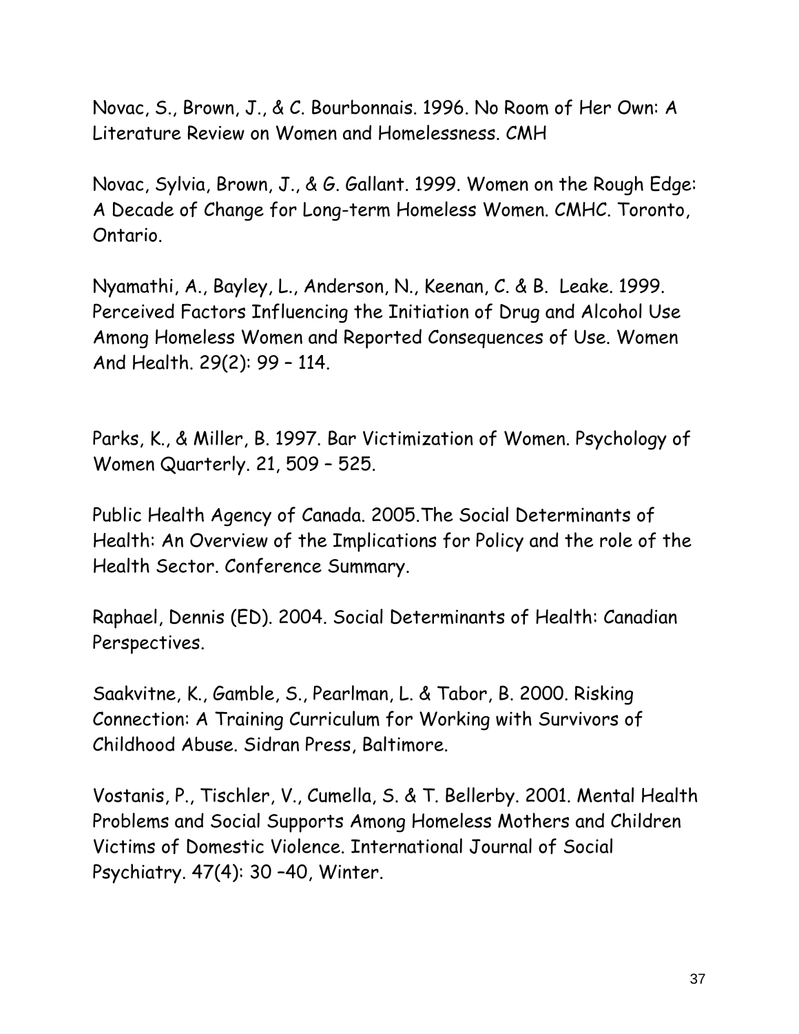Novac, S., Brown, J., & C. Bourbonnais. 1996. No Room of Her Own: A Literature Review on Women and Homelessness. CMH

Novac, Sylvia, Brown, J., & G. Gallant. 1999. Women on the Rough Edge: A Decade of Change for Long-term Homeless Women. CMHC. Toronto, Ontario.

Nyamathi, A., Bayley, L., Anderson, N., Keenan, C. & B. Leake. 1999. Perceived Factors Influencing the Initiation of Drug and Alcohol Use Among Homeless Women and Reported Consequences of Use. Women And Health. 29(2): 99 – 114.

Parks, K., & Miller, B. 1997. Bar Victimization of Women. Psychology of Women Quarterly. 21, 509 – 525.

Public Health Agency of Canada. 2005.The Social Determinants of Health: An Overview of the Implications for Policy and the role of the Health Sector. Conference Summary.

Raphael, Dennis (ED). 2004. Social Determinants of Health: Canadian Perspectives.

Saakvitne, K., Gamble, S., Pearlman, L. & Tabor, B. 2000. Risking Connection: A Training Curriculum for Working with Survivors of Childhood Abuse. Sidran Press, Baltimore.

Vostanis, P., Tischler, V., Cumella, S. & T. Bellerby. 2001. Mental Health Problems and Social Supports Among Homeless Mothers and Children Victims of Domestic Violence. International Journal of Social Psychiatry. 47(4): 30 –40, Winter.